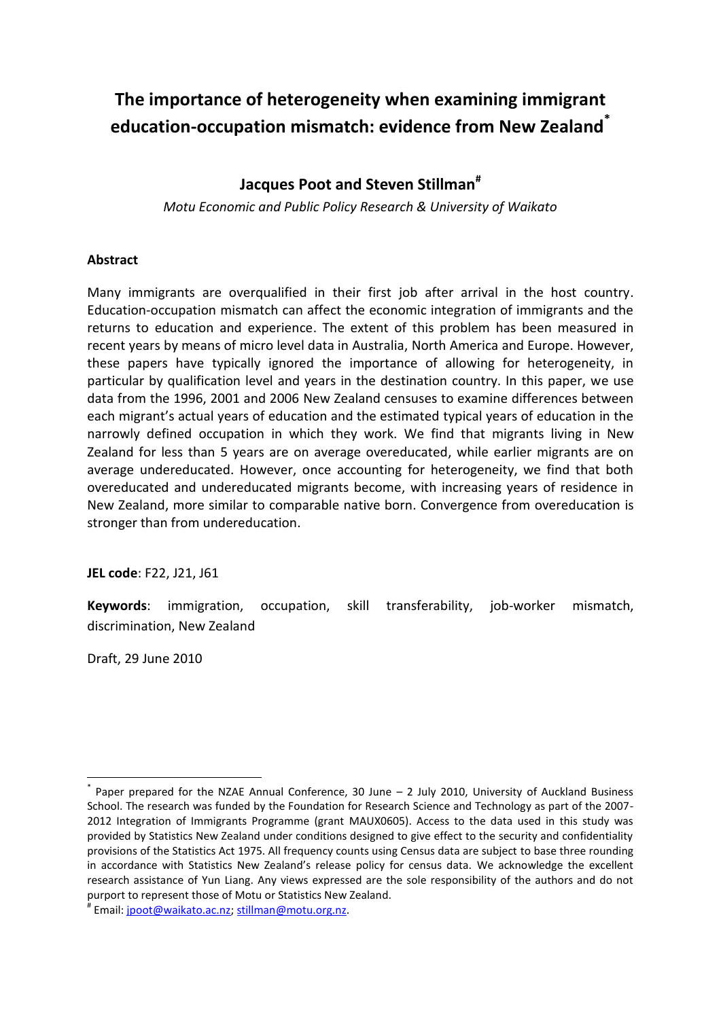# **The importance of heterogeneity when examining immigrant education-occupation mismatch: evidence from New Zealand\***

# **Jacques Poot and Steven Stillman#**

*Motu Economic and Public Policy Research & University of Waikato*

### **Abstract**

Many immigrants are overqualified in their first job after arrival in the host country. Education-occupation mismatch can affect the economic integration of immigrants and the returns to education and experience. The extent of this problem has been measured in recent years by means of micro level data in Australia, North America and Europe. However, these papers have typically ignored the importance of allowing for heterogeneity, in particular by qualification level and years in the destination country. In this paper, we use data from the 1996, 2001 and 2006 New Zealand censuses to examine differences between each migrant's actual years of education and the estimated typical years of education in the narrowly defined occupation in which they work. We find that migrants living in New Zealand for less than 5 years are on average overeducated, while earlier migrants are on average undereducated. However, once accounting for heterogeneity, we find that both overeducated and undereducated migrants become, with increasing years of residence in New Zealand, more similar to comparable native born. Convergence from overeducation is stronger than from undereducation.

**JEL code**: F22, J21, J61

**Keywords**: immigration, occupation, skill transferability, job-worker mismatch, discrimination, New Zealand

Draft, 29 June 2010

**.** 

<sup>\*</sup> Paper prepared for the NZAE Annual Conference, 30 June – 2 July 2010, University of Auckland Business School. The research was funded by the Foundation for Research Science and Technology as part of the 2007- 2012 Integration of Immigrants Programme (grant MAUX0605). Access to the data used in this study was provided by Statistics New Zealand under conditions designed to give effect to the security and confidentiality provisions of the Statistics Act 1975. All frequency counts using Census data are subject to base three rounding in accordance with Statistics New Zealand's release policy for census data. We acknowledge the excellent research assistance of Yun Liang. Any views expressed are the sole responsibility of the authors and do not purport to represent those of Motu or Statistics New Zealand.

<sup>#</sup> Email[: jpoot@waikato.ac.nz;](mailto:jpoot@waikato.ac.nz) [stillman@motu.org.nz.](mailto:steven.stillman@motu.org.nz)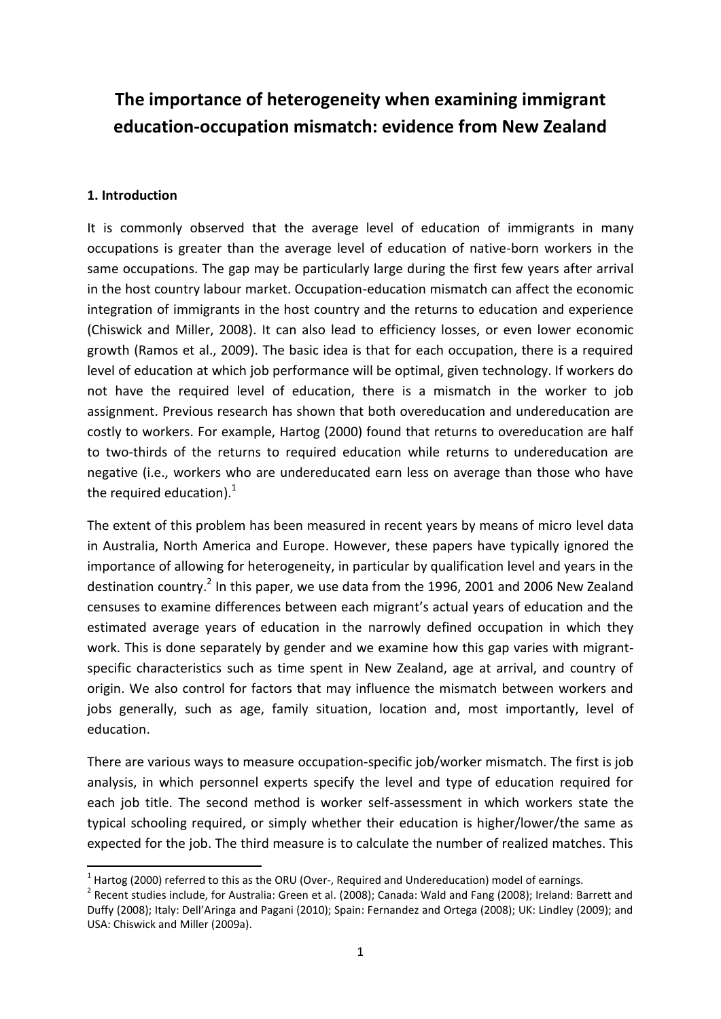# **The importance of heterogeneity when examining immigrant education-occupation mismatch: evidence from New Zealand**

## **1. Introduction**

**.** 

It is commonly observed that the average level of education of immigrants in many occupations is greater than the average level of education of native-born workers in the same occupations. The gap may be particularly large during the first few years after arrival in the host country labour market. Occupation-education mismatch can affect the economic integration of immigrants in the host country and the returns to education and experience (Chiswick and Miller, 2008). It can also lead to efficiency losses, or even lower economic growth (Ramos et al., 2009). The basic idea is that for each occupation, there is a required level of education at which job performance will be optimal, given technology. If workers do not have the required level of education, there is a mismatch in the worker to job assignment. Previous research has shown that both overeducation and undereducation are costly to workers. For example, Hartog (2000) found that returns to overeducation are half to two-thirds of the returns to required education while returns to undereducation are negative (i.e., workers who are undereducated earn less on average than those who have the required education). $1$ 

The extent of this problem has been measured in recent years by means of micro level data in Australia, North America and Europe. However, these papers have typically ignored the importance of allowing for heterogeneity, in particular by qualification level and years in the destination country.<sup>2</sup> In this paper, we use data from the 1996, 2001 and 2006 New Zealand censuses to examine differences between each migrant's actual years of education and the estimated average years of education in the narrowly defined occupation in which they work. This is done separately by gender and we examine how this gap varies with migrantspecific characteristics such as time spent in New Zealand, age at arrival, and country of origin. We also control for factors that may influence the mismatch between workers and jobs generally, such as age, family situation, location and, most importantly, level of education.

There are various ways to measure occupation-specific job/worker mismatch. The first is job analysis, in which personnel experts specify the level and type of education required for each job title. The second method is worker self-assessment in which workers state the typical schooling required, or simply whether their education is higher/lower/the same as expected for the job. The third measure is to calculate the number of realized matches. This

 $^1$  Hartog (2000) referred to this as the ORU (Over-, Required and Undereducation) model of earnings.

<sup>&</sup>lt;sup>2</sup> Recent studies include, for Australia: Green et al. (2008); Canada: Wald and Fang (2008); Ireland: Barrett and Duffy (2008); Italy: Dell'Aringa and Pagani (2010); Spain: Fernandez and Ortega (2008); UK: Lindley (2009); and USA: Chiswick and Miller (2009a).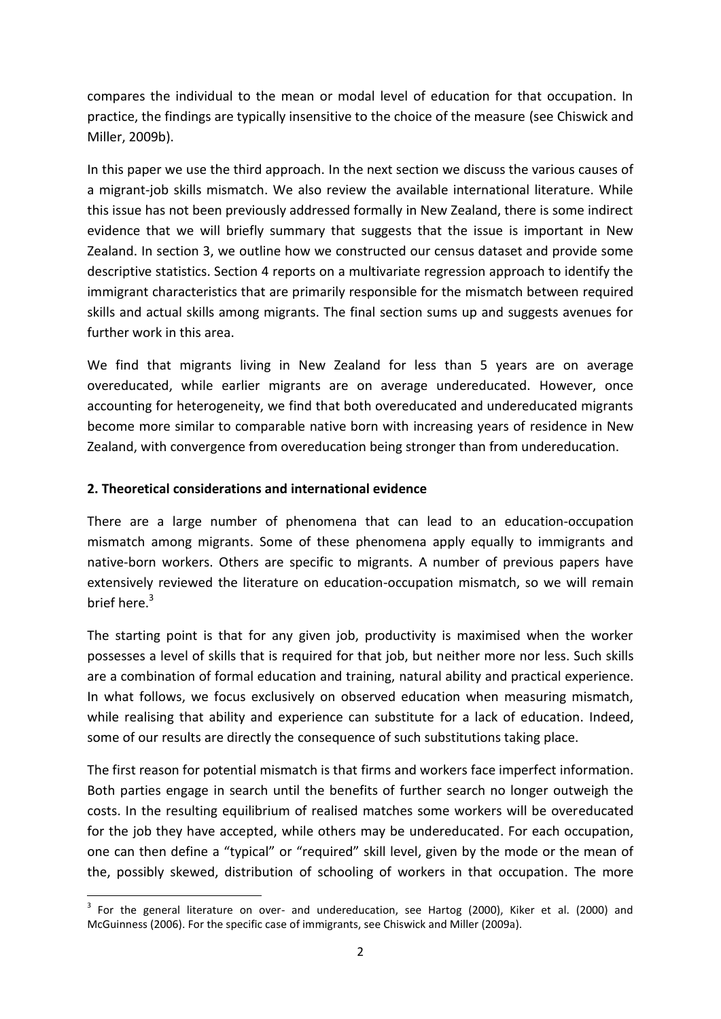compares the individual to the mean or modal level of education for that occupation. In practice, the findings are typically insensitive to the choice of the measure (see Chiswick and Miller, 2009b).

In this paper we use the third approach. In the next section we discuss the various causes of a migrant-job skills mismatch. We also review the available international literature. While this issue has not been previously addressed formally in New Zealand, there is some indirect evidence that we will briefly summary that suggests that the issue is important in New Zealand. In section 3, we outline how we constructed our census dataset and provide some descriptive statistics. Section 4 reports on a multivariate regression approach to identify the immigrant characteristics that are primarily responsible for the mismatch between required skills and actual skills among migrants. The final section sums up and suggests avenues for further work in this area.

We find that migrants living in New Zealand for less than 5 years are on average overeducated, while earlier migrants are on average undereducated. However, once accounting for heterogeneity, we find that both overeducated and undereducated migrants become more similar to comparable native born with increasing years of residence in New Zealand, with convergence from overeducation being stronger than from undereducation.

# **2. Theoretical considerations and international evidence**

There are a large number of phenomena that can lead to an education-occupation mismatch among migrants. Some of these phenomena apply equally to immigrants and native-born workers. Others are specific to migrants. A number of previous papers have extensively reviewed the literature on education-occupation mismatch, so we will remain brief here. $3$ 

The starting point is that for any given job, productivity is maximised when the worker possesses a level of skills that is required for that job, but neither more nor less. Such skills are a combination of formal education and training, natural ability and practical experience. In what follows, we focus exclusively on observed education when measuring mismatch, while realising that ability and experience can substitute for a lack of education. Indeed, some of our results are directly the consequence of such substitutions taking place.

The first reason for potential mismatch is that firms and workers face imperfect information. Both parties engage in search until the benefits of further search no longer outweigh the costs. In the resulting equilibrium of realised matches some workers will be overeducated for the job they have accepted, while others may be undereducated. For each occupation, one can then define a "typical" or "required" skill level, given by the mode or the mean of the, possibly skewed, distribution of schooling of workers in that occupation. The more

**<sup>.</sup>**  $3$  For the general literature on over- and undereducation, see Hartog (2000), Kiker et al. (2000) and McGuinness (2006). For the specific case of immigrants, see Chiswick and Miller (2009a).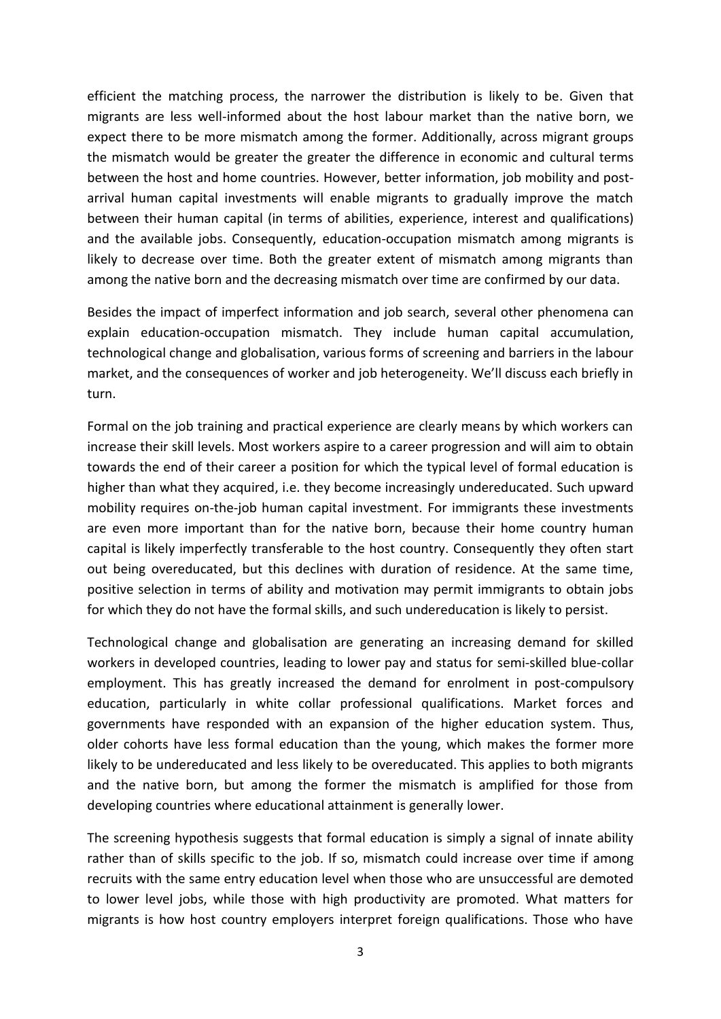efficient the matching process, the narrower the distribution is likely to be. Given that migrants are less well-informed about the host labour market than the native born, we expect there to be more mismatch among the former. Additionally, across migrant groups the mismatch would be greater the greater the difference in economic and cultural terms between the host and home countries. However, better information, job mobility and postarrival human capital investments will enable migrants to gradually improve the match between their human capital (in terms of abilities, experience, interest and qualifications) and the available jobs. Consequently, education-occupation mismatch among migrants is likely to decrease over time. Both the greater extent of mismatch among migrants than among the native born and the decreasing mismatch over time are confirmed by our data.

Besides the impact of imperfect information and job search, several other phenomena can explain education-occupation mismatch. They include human capital accumulation, technological change and globalisation, various forms of screening and barriers in the labour market, and the consequences of worker and job heterogeneity. We'll discuss each briefly in turn.

Formal on the job training and practical experience are clearly means by which workers can increase their skill levels. Most workers aspire to a career progression and will aim to obtain towards the end of their career a position for which the typical level of formal education is higher than what they acquired, i.e. they become increasingly undereducated. Such upward mobility requires on-the-job human capital investment. For immigrants these investments are even more important than for the native born, because their home country human capital is likely imperfectly transferable to the host country. Consequently they often start out being overeducated, but this declines with duration of residence. At the same time, positive selection in terms of ability and motivation may permit immigrants to obtain jobs for which they do not have the formal skills, and such undereducation is likely to persist.

Technological change and globalisation are generating an increasing demand for skilled workers in developed countries, leading to lower pay and status for semi-skilled blue-collar employment. This has greatly increased the demand for enrolment in post-compulsory education, particularly in white collar professional qualifications. Market forces and governments have responded with an expansion of the higher education system. Thus, older cohorts have less formal education than the young, which makes the former more likely to be undereducated and less likely to be overeducated. This applies to both migrants and the native born, but among the former the mismatch is amplified for those from developing countries where educational attainment is generally lower.

The screening hypothesis suggests that formal education is simply a signal of innate ability rather than of skills specific to the job. If so, mismatch could increase over time if among recruits with the same entry education level when those who are unsuccessful are demoted to lower level jobs, while those with high productivity are promoted. What matters for migrants is how host country employers interpret foreign qualifications. Those who have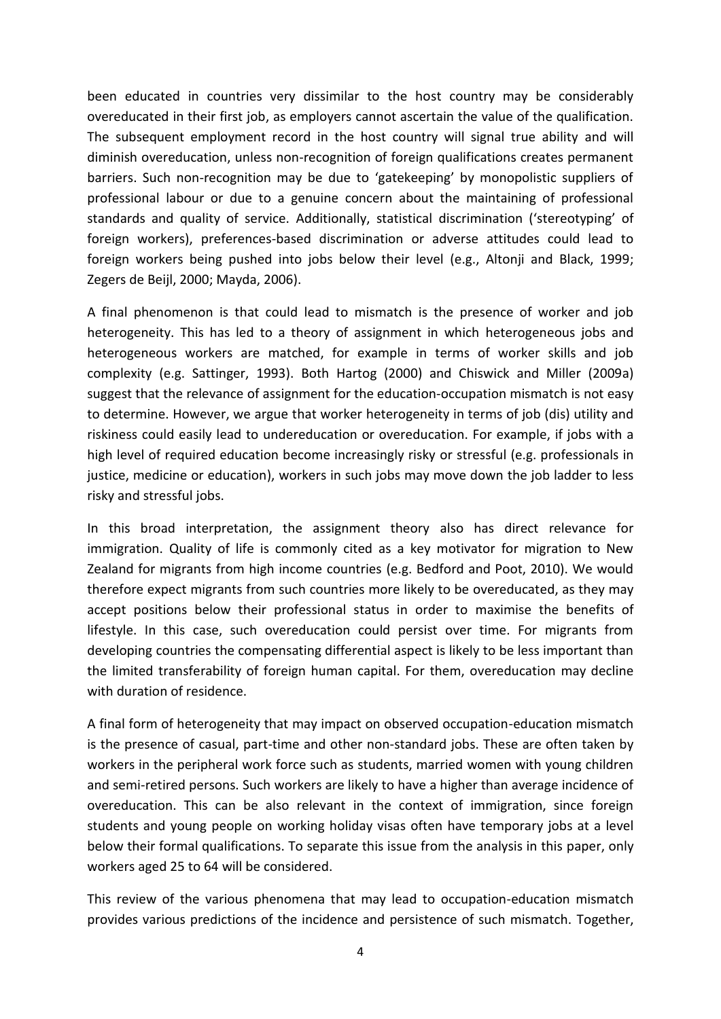been educated in countries very dissimilar to the host country may be considerably overeducated in their first job, as employers cannot ascertain the value of the qualification. The subsequent employment record in the host country will signal true ability and will diminish overeducation, unless non-recognition of foreign qualifications creates permanent barriers. Such non-recognition may be due to 'gatekeeping' by monopolistic suppliers of professional labour or due to a genuine concern about the maintaining of professional standards and quality of service. Additionally, statistical discrimination ('stereotyping' of foreign workers), preferences-based discrimination or adverse attitudes could lead to foreign workers being pushed into jobs below their level (e.g., Altonji and Black, 1999; Zegers de Beijl, 2000; Mayda, 2006).

A final phenomenon is that could lead to mismatch is the presence of worker and job heterogeneity. This has led to a theory of assignment in which heterogeneous jobs and heterogeneous workers are matched, for example in terms of worker skills and job complexity (e.g. Sattinger, 1993). Both Hartog (2000) and Chiswick and Miller (2009a) suggest that the relevance of assignment for the education-occupation mismatch is not easy to determine. However, we argue that worker heterogeneity in terms of job (dis) utility and riskiness could easily lead to undereducation or overeducation. For example, if jobs with a high level of required education become increasingly risky or stressful (e.g. professionals in justice, medicine or education), workers in such jobs may move down the job ladder to less risky and stressful jobs.

In this broad interpretation, the assignment theory also has direct relevance for immigration. Quality of life is commonly cited as a key motivator for migration to New Zealand for migrants from high income countries (e.g. Bedford and Poot, 2010). We would therefore expect migrants from such countries more likely to be overeducated, as they may accept positions below their professional status in order to maximise the benefits of lifestyle. In this case, such overeducation could persist over time. For migrants from developing countries the compensating differential aspect is likely to be less important than the limited transferability of foreign human capital. For them, overeducation may decline with duration of residence.

A final form of heterogeneity that may impact on observed occupation-education mismatch is the presence of casual, part-time and other non-standard jobs. These are often taken by workers in the peripheral work force such as students, married women with young children and semi-retired persons. Such workers are likely to have a higher than average incidence of overeducation. This can be also relevant in the context of immigration, since foreign students and young people on working holiday visas often have temporary jobs at a level below their formal qualifications. To separate this issue from the analysis in this paper, only workers aged 25 to 64 will be considered.

This review of the various phenomena that may lead to occupation-education mismatch provides various predictions of the incidence and persistence of such mismatch. Together,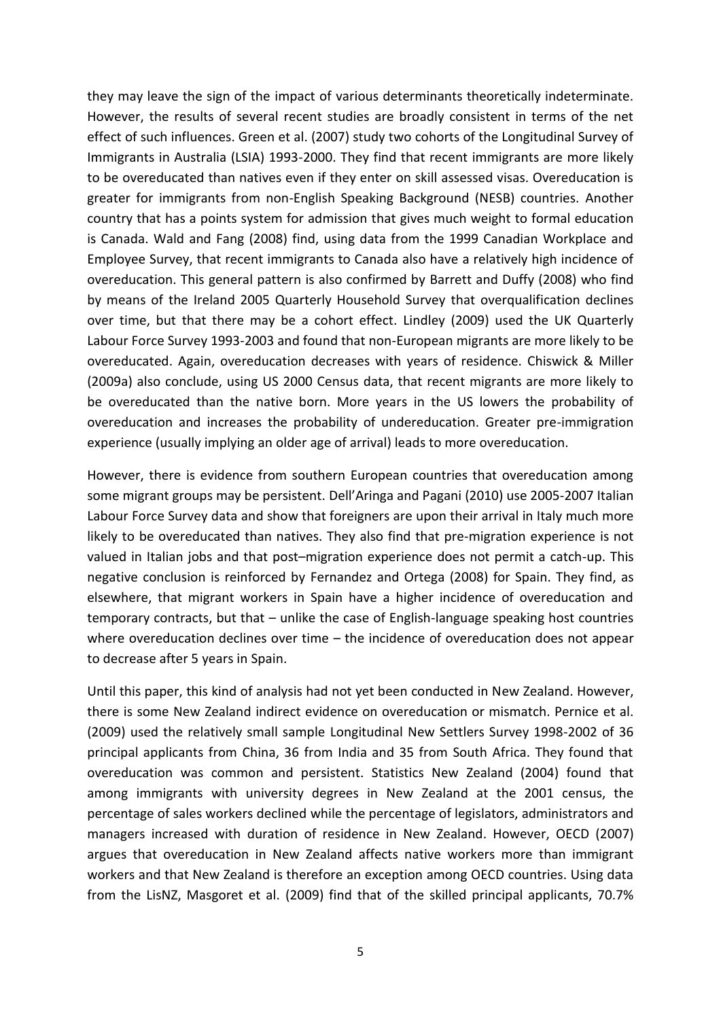they may leave the sign of the impact of various determinants theoretically indeterminate. However, the results of several recent studies are broadly consistent in terms of the net effect of such influences. Green et al. (2007) study two cohorts of the Longitudinal Survey of Immigrants in Australia (LSIA) 1993-2000. They find that recent immigrants are more likely to be overeducated than natives even if they enter on skill assessed visas. Overeducation is greater for immigrants from non-English Speaking Background (NESB) countries. Another country that has a points system for admission that gives much weight to formal education is Canada. Wald and Fang (2008) find, using data from the 1999 Canadian Workplace and Employee Survey, that recent immigrants to Canada also have a relatively high incidence of overeducation. This general pattern is also confirmed by Barrett and Duffy (2008) who find by means of the Ireland 2005 Quarterly Household Survey that overqualification declines over time, but that there may be a cohort effect. Lindley (2009) used the UK Quarterly Labour Force Survey 1993-2003 and found that non-European migrants are more likely to be overeducated. Again, overeducation decreases with years of residence. Chiswick & Miller (2009a) also conclude, using US 2000 Census data, that recent migrants are more likely to be overeducated than the native born. More years in the US lowers the probability of overeducation and increases the probability of undereducation. Greater pre-immigration experience (usually implying an older age of arrival) leads to more overeducation.

However, there is evidence from southern European countries that overeducation among some migrant groups may be persistent. Dell'Aringa and Pagani (2010) use 2005-2007 Italian Labour Force Survey data and show that foreigners are upon their arrival in Italy much more likely to be overeducated than natives. They also find that pre-migration experience is not valued in Italian jobs and that post–migration experience does not permit a catch-up. This negative conclusion is reinforced by Fernandez and Ortega (2008) for Spain. They find, as elsewhere, that migrant workers in Spain have a higher incidence of overeducation and temporary contracts, but that – unlike the case of English-language speaking host countries where overeducation declines over time – the incidence of overeducation does not appear to decrease after 5 years in Spain.

Until this paper, this kind of analysis had not yet been conducted in New Zealand. However, there is some New Zealand indirect evidence on overeducation or mismatch. Pernice et al. (2009) used the relatively small sample Longitudinal New Settlers Survey 1998-2002 of 36 principal applicants from China, 36 from India and 35 from South Africa. They found that overeducation was common and persistent. Statistics New Zealand (2004) found that among immigrants with university degrees in New Zealand at the 2001 census, the percentage of sales workers declined while the percentage of legislators, administrators and managers increased with duration of residence in New Zealand. However, OECD (2007) argues that overeducation in New Zealand affects native workers more than immigrant workers and that New Zealand is therefore an exception among OECD countries. Using data from the LisNZ, Masgoret et al. (2009) find that of the skilled principal applicants, 70.7%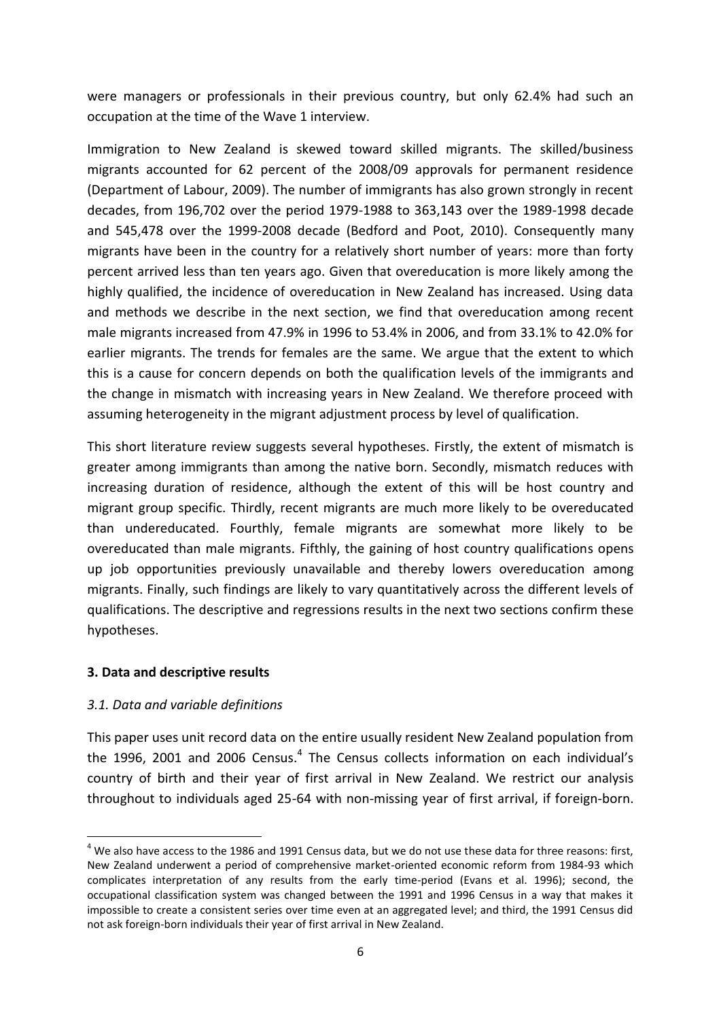were managers or professionals in their previous country, but only 62.4% had such an occupation at the time of the Wave 1 interview.

Immigration to New Zealand is skewed toward skilled migrants. The skilled/business migrants accounted for 62 percent of the 2008/09 approvals for permanent residence (Department of Labour, 2009). The number of immigrants has also grown strongly in recent decades, from 196,702 over the period 1979-1988 to 363,143 over the 1989-1998 decade and 545,478 over the 1999-2008 decade (Bedford and Poot, 2010). Consequently many migrants have been in the country for a relatively short number of years: more than forty percent arrived less than ten years ago. Given that overeducation is more likely among the highly qualified, the incidence of overeducation in New Zealand has increased. Using data and methods we describe in the next section, we find that overeducation among recent male migrants increased from 47.9% in 1996 to 53.4% in 2006, and from 33.1% to 42.0% for earlier migrants. The trends for females are the same. We argue that the extent to which this is a cause for concern depends on both the qualification levels of the immigrants and the change in mismatch with increasing years in New Zealand. We therefore proceed with assuming heterogeneity in the migrant adjustment process by level of qualification.

This short literature review suggests several hypotheses. Firstly, the extent of mismatch is greater among immigrants than among the native born. Secondly, mismatch reduces with increasing duration of residence, although the extent of this will be host country and migrant group specific. Thirdly, recent migrants are much more likely to be overeducated than undereducated. Fourthly, female migrants are somewhat more likely to be overeducated than male migrants. Fifthly, the gaining of host country qualifications opens up job opportunities previously unavailable and thereby lowers overeducation among migrants. Finally, such findings are likely to vary quantitatively across the different levels of qualifications. The descriptive and regressions results in the next two sections confirm these hypotheses.

### **3. Data and descriptive results**

# *3.1. Data and variable definitions*

**.** 

This paper uses unit record data on the entire usually resident New Zealand population from the 1996, 2001 and 2006 Census.<sup>4</sup> The Census collects information on each individual's country of birth and their year of first arrival in New Zealand. We restrict our analysis throughout to individuals aged 25-64 with non-missing year of first arrival, if foreign-born.

 $4$  We also have access to the 1986 and 1991 Census data, but we do not use these data for three reasons: first, New Zealand underwent a period of comprehensive market-oriented economic reform from 1984-93 which complicates interpretation of any results from the early time-period (Evans et al. 1996); second, the occupational classification system was changed between the 1991 and 1996 Census in a way that makes it impossible to create a consistent series over time even at an aggregated level; and third, the 1991 Census did not ask foreign-born individuals their year of first arrival in New Zealand.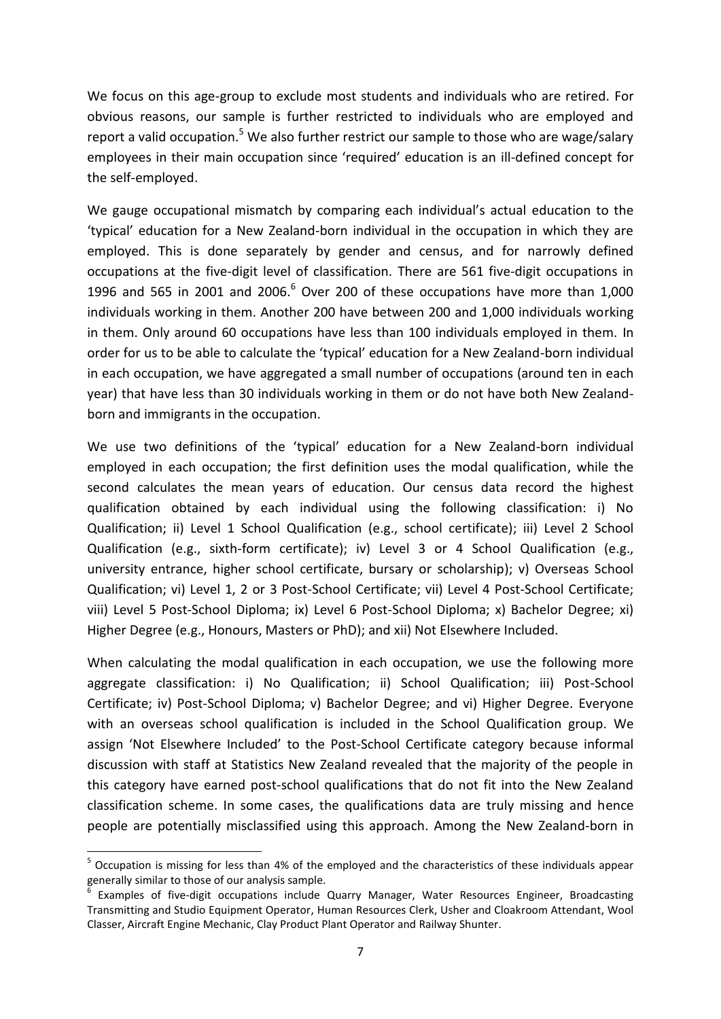We focus on this age-group to exclude most students and individuals who are retired. For obvious reasons, our sample is further restricted to individuals who are employed and report a valid occupation.<sup>5</sup> We also further restrict our sample to those who are wage/salary employees in their main occupation since 'required' education is an ill-defined concept for the self-employed.

We gauge occupational mismatch by comparing each individual's actual education to the 'typical' education for a New Zealand-born individual in the occupation in which they are employed. This is done separately by gender and census, and for narrowly defined occupations at the five-digit level of classification. There are 561 five-digit occupations in 1996 and 565 in 2001 and 2006. $^6$  Over 200 of these occupations have more than 1,000 individuals working in them. Another 200 have between 200 and 1,000 individuals working in them. Only around 60 occupations have less than 100 individuals employed in them. In order for us to be able to calculate the 'typical' education for a New Zealand-born individual in each occupation, we have aggregated a small number of occupations (around ten in each year) that have less than 30 individuals working in them or do not have both New Zealandborn and immigrants in the occupation.

We use two definitions of the 'typical' education for a New Zealand-born individual employed in each occupation; the first definition uses the modal qualification, while the second calculates the mean years of education. Our census data record the highest qualification obtained by each individual using the following classification: i) No Qualification; ii) Level 1 School Qualification (e.g., school certificate); iii) Level 2 School Qualification (e.g., sixth-form certificate); iv) Level 3 or 4 School Qualification (e.g., university entrance, higher school certificate, bursary or scholarship); v) Overseas School Qualification; vi) Level 1, 2 or 3 Post-School Certificate; vii) Level 4 Post-School Certificate; viii) Level 5 Post-School Diploma; ix) Level 6 Post-School Diploma; x) Bachelor Degree; xi) Higher Degree (e.g., Honours, Masters or PhD); and xii) Not Elsewhere Included.

When calculating the modal qualification in each occupation, we use the following more aggregate classification: i) No Qualification; ii) School Qualification; iii) Post-School Certificate; iv) Post-School Diploma; v) Bachelor Degree; and vi) Higher Degree. Everyone with an overseas school qualification is included in the School Qualification group. We assign 'Not Elsewhere Included' to the Post-School Certificate category because informal discussion with staff at Statistics New Zealand revealed that the majority of the people in this category have earned post-school qualifications that do not fit into the New Zealand classification scheme. In some cases, the qualifications data are truly missing and hence people are potentially misclassified using this approach. Among the New Zealand-born in

 $\overline{\phantom{a}}$ 

<sup>&</sup>lt;sup>5</sup> Occupation is missing for less than 4% of the employed and the characteristics of these individuals appear generally similar to those of our analysis sample.<br><sup>6</sup> Evamples, of five digit, acquestions, include.

Examples of five-digit occupations include Quarry Manager, Water Resources Engineer, Broadcasting Transmitting and Studio Equipment Operator, Human Resources Clerk, Usher and Cloakroom Attendant, Wool Classer, Aircraft Engine Mechanic, Clay Product Plant Operator and Railway Shunter.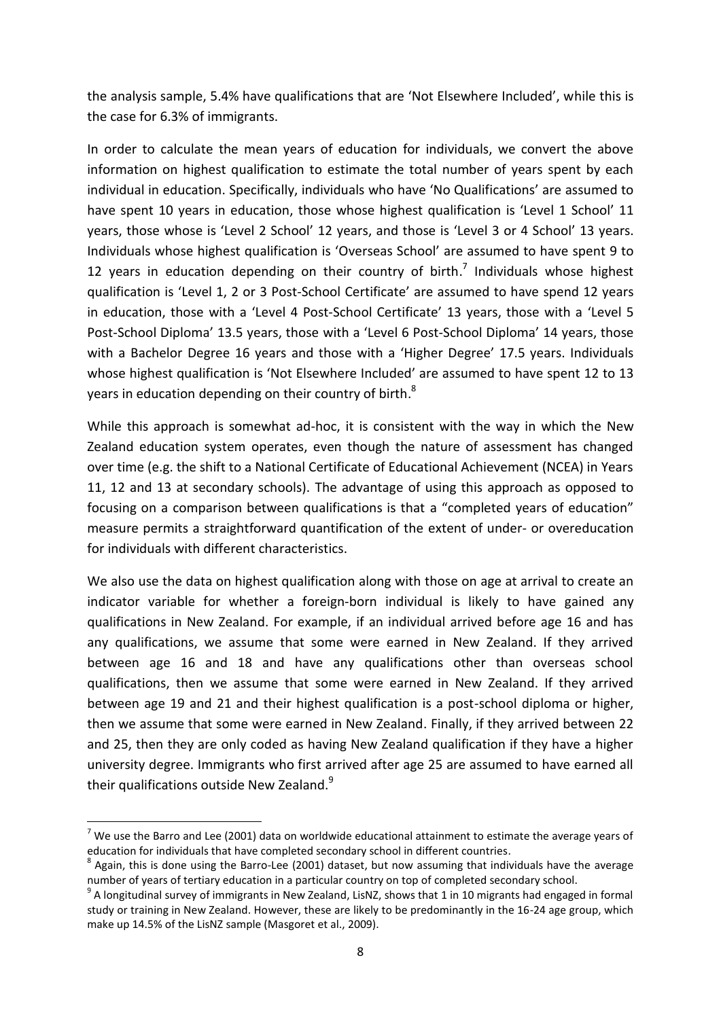the analysis sample, 5.4% have qualifications that are 'Not Elsewhere Included', while this is the case for 6.3% of immigrants.

In order to calculate the mean years of education for individuals, we convert the above information on highest qualification to estimate the total number of years spent by each individual in education. Specifically, individuals who have 'No Qualifications' are assumed to have spent 10 years in education, those whose highest qualification is 'Level 1 School' 11 years, those whose is 'Level 2 School' 12 years, and those is 'Level 3 or 4 School' 13 years. Individuals whose highest qualification is 'Overseas School' are assumed to have spent 9 to 12 years in education depending on their country of birth.<sup>7</sup> Individuals whose highest qualification is 'Level 1, 2 or 3 Post-School Certificate' are assumed to have spend 12 years in education, those with a 'Level 4 Post-School Certificate' 13 years, those with a 'Level 5 Post-School Diploma' 13.5 years, those with a 'Level 6 Post-School Diploma' 14 years, those with a Bachelor Degree 16 years and those with a 'Higher Degree' 17.5 years. Individuals whose highest qualification is 'Not Elsewhere Included' are assumed to have spent 12 to 13 years in education depending on their country of birth. $^{8}$ 

While this approach is somewhat ad-hoc, it is consistent with the way in which the New Zealand education system operates, even though the nature of assessment has changed over time (e.g. the shift to a National Certificate of Educational Achievement (NCEA) in Years 11, 12 and 13 at secondary schools). The advantage of using this approach as opposed to focusing on a comparison between qualifications is that a "completed years of education" measure permits a straightforward quantification of the extent of under- or overeducation for individuals with different characteristics.

We also use the data on highest qualification along with those on age at arrival to create an indicator variable for whether a foreign-born individual is likely to have gained any qualifications in New Zealand. For example, if an individual arrived before age 16 and has any qualifications, we assume that some were earned in New Zealand. If they arrived between age 16 and 18 and have any qualifications other than overseas school qualifications, then we assume that some were earned in New Zealand. If they arrived between age 19 and 21 and their highest qualification is a post-school diploma or higher, then we assume that some were earned in New Zealand. Finally, if they arrived between 22 and 25, then they are only coded as having New Zealand qualification if they have a higher university degree. Immigrants who first arrived after age 25 are assumed to have earned all their qualifications outside New Zealand.<sup>9</sup>

 $\overline{\phantom{a}}$ 

 $7$  We use the Barro and Lee (2001) data on worldwide educational attainment to estimate the average years of education for individuals that have completed secondary school in different countries.

 $^8$  Again, this is done using the Barro-Lee (2001) dataset, but now assuming that individuals have the average number of years of tertiary education in a particular country on top of completed secondary school.

 $^9$  A longitudinal survey of immigrants in New Zealand, LisNZ, shows that 1 in 10 migrants had engaged in formal study or training in New Zealand. However, these are likely to be predominantly in the 16-24 age group, which make up 14.5% of the LisNZ sample (Masgoret et al., 2009).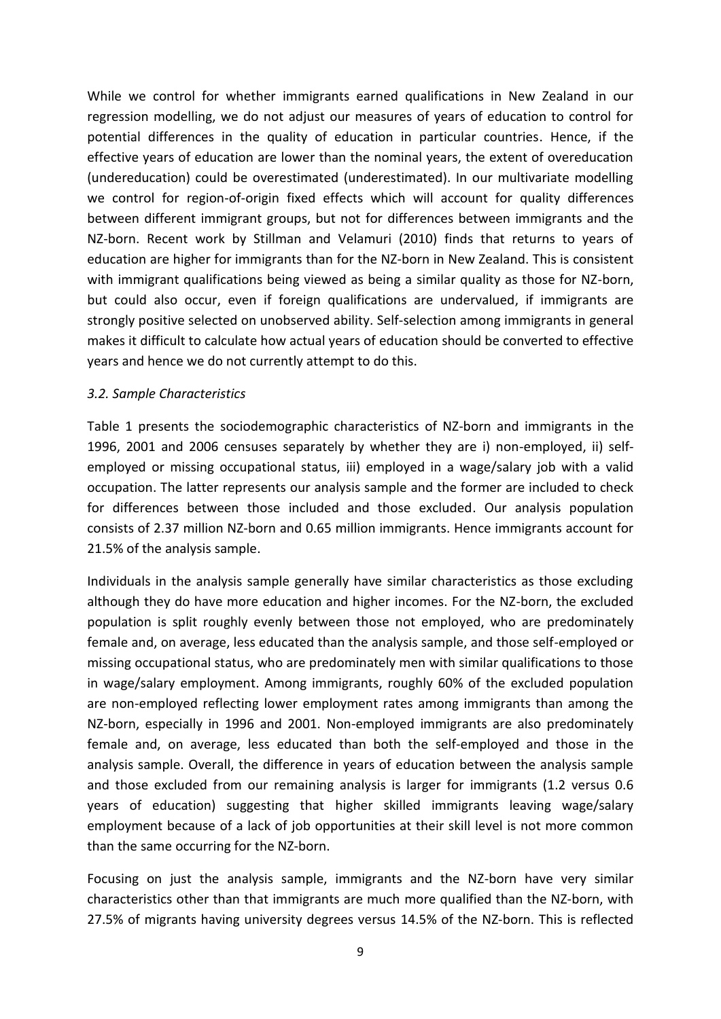While we control for whether immigrants earned qualifications in New Zealand in our regression modelling, we do not adjust our measures of years of education to control for potential differences in the quality of education in particular countries. Hence, if the effective years of education are lower than the nominal years, the extent of overeducation (undereducation) could be overestimated (underestimated). In our multivariate modelling we control for region-of-origin fixed effects which will account for quality differences between different immigrant groups, but not for differences between immigrants and the NZ-born. Recent work by Stillman and Velamuri (2010) finds that returns to years of education are higher for immigrants than for the NZ-born in New Zealand. This is consistent with immigrant qualifications being viewed as being a similar quality as those for NZ-born, but could also occur, even if foreign qualifications are undervalued, if immigrants are strongly positive selected on unobserved ability. Self-selection among immigrants in general makes it difficult to calculate how actual years of education should be converted to effective years and hence we do not currently attempt to do this.

### *3.2. Sample Characteristics*

Table 1 presents the sociodemographic characteristics of NZ-born and immigrants in the 1996, 2001 and 2006 censuses separately by whether they are i) non-employed, ii) selfemployed or missing occupational status, iii) employed in a wage/salary job with a valid occupation. The latter represents our analysis sample and the former are included to check for differences between those included and those excluded. Our analysis population consists of 2.37 million NZ-born and 0.65 million immigrants. Hence immigrants account for 21.5% of the analysis sample.

Individuals in the analysis sample generally have similar characteristics as those excluding although they do have more education and higher incomes. For the NZ-born, the excluded population is split roughly evenly between those not employed, who are predominately female and, on average, less educated than the analysis sample, and those self-employed or missing occupational status, who are predominately men with similar qualifications to those in wage/salary employment. Among immigrants, roughly 60% of the excluded population are non-employed reflecting lower employment rates among immigrants than among the NZ-born, especially in 1996 and 2001. Non-employed immigrants are also predominately female and, on average, less educated than both the self-employed and those in the analysis sample. Overall, the difference in years of education between the analysis sample and those excluded from our remaining analysis is larger for immigrants (1.2 versus 0.6 years of education) suggesting that higher skilled immigrants leaving wage/salary employment because of a lack of job opportunities at their skill level is not more common than the same occurring for the NZ-born.

Focusing on just the analysis sample, immigrants and the NZ-born have very similar characteristics other than that immigrants are much more qualified than the NZ-born, with 27.5% of migrants having university degrees versus 14.5% of the NZ-born. This is reflected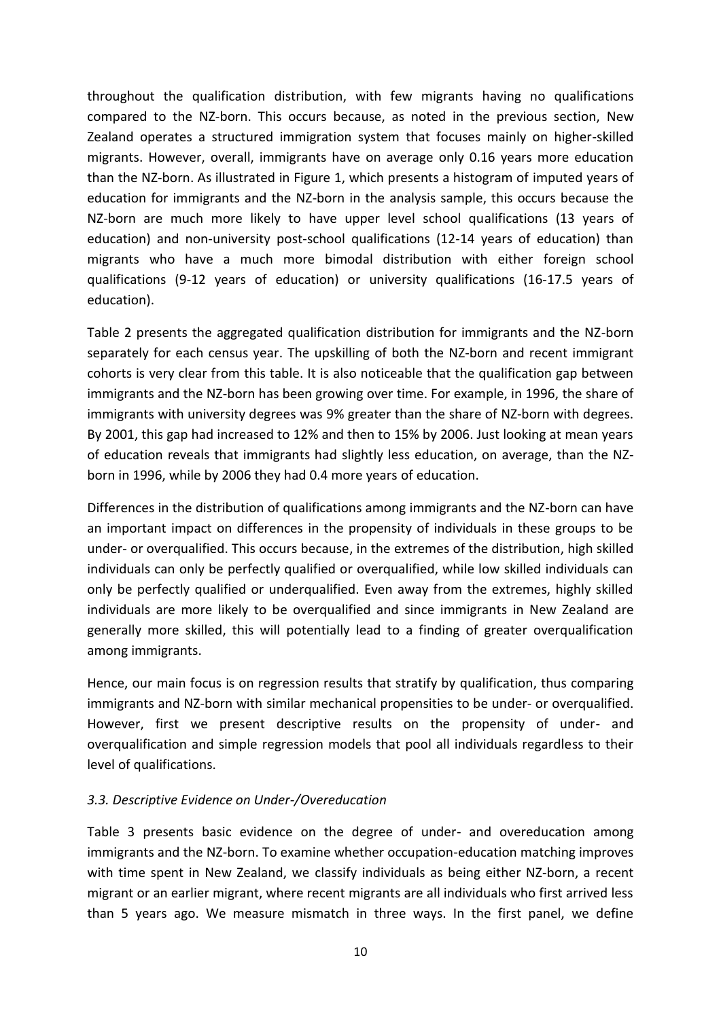throughout the qualification distribution, with few migrants having no qualifications compared to the NZ-born. This occurs because, as noted in the previous section, New Zealand operates a structured immigration system that focuses mainly on higher-skilled migrants. However, overall, immigrants have on average only 0.16 years more education than the NZ-born. As illustrated in Figure 1, which presents a histogram of imputed years of education for immigrants and the NZ-born in the analysis sample, this occurs because the NZ-born are much more likely to have upper level school qualifications (13 years of education) and non-university post-school qualifications (12-14 years of education) than migrants who have a much more bimodal distribution with either foreign school qualifications (9-12 years of education) or university qualifications (16-17.5 years of education).

Table 2 presents the aggregated qualification distribution for immigrants and the NZ-born separately for each census year. The upskilling of both the NZ-born and recent immigrant cohorts is very clear from this table. It is also noticeable that the qualification gap between immigrants and the NZ-born has been growing over time. For example, in 1996, the share of immigrants with university degrees was 9% greater than the share of NZ-born with degrees. By 2001, this gap had increased to 12% and then to 15% by 2006. Just looking at mean years of education reveals that immigrants had slightly less education, on average, than the NZborn in 1996, while by 2006 they had 0.4 more years of education.

Differences in the distribution of qualifications among immigrants and the NZ-born can have an important impact on differences in the propensity of individuals in these groups to be under- or overqualified. This occurs because, in the extremes of the distribution, high skilled individuals can only be perfectly qualified or overqualified, while low skilled individuals can only be perfectly qualified or underqualified. Even away from the extremes, highly skilled individuals are more likely to be overqualified and since immigrants in New Zealand are generally more skilled, this will potentially lead to a finding of greater overqualification among immigrants.

Hence, our main focus is on regression results that stratify by qualification, thus comparing immigrants and NZ-born with similar mechanical propensities to be under- or overqualified. However, first we present descriptive results on the propensity of under- and overqualification and simple regression models that pool all individuals regardless to their level of qualifications.

# *3.3. Descriptive Evidence on Under-/Overeducation*

Table 3 presents basic evidence on the degree of under- and overeducation among immigrants and the NZ-born. To examine whether occupation-education matching improves with time spent in New Zealand, we classify individuals as being either NZ-born, a recent migrant or an earlier migrant, where recent migrants are all individuals who first arrived less than 5 years ago. We measure mismatch in three ways. In the first panel, we define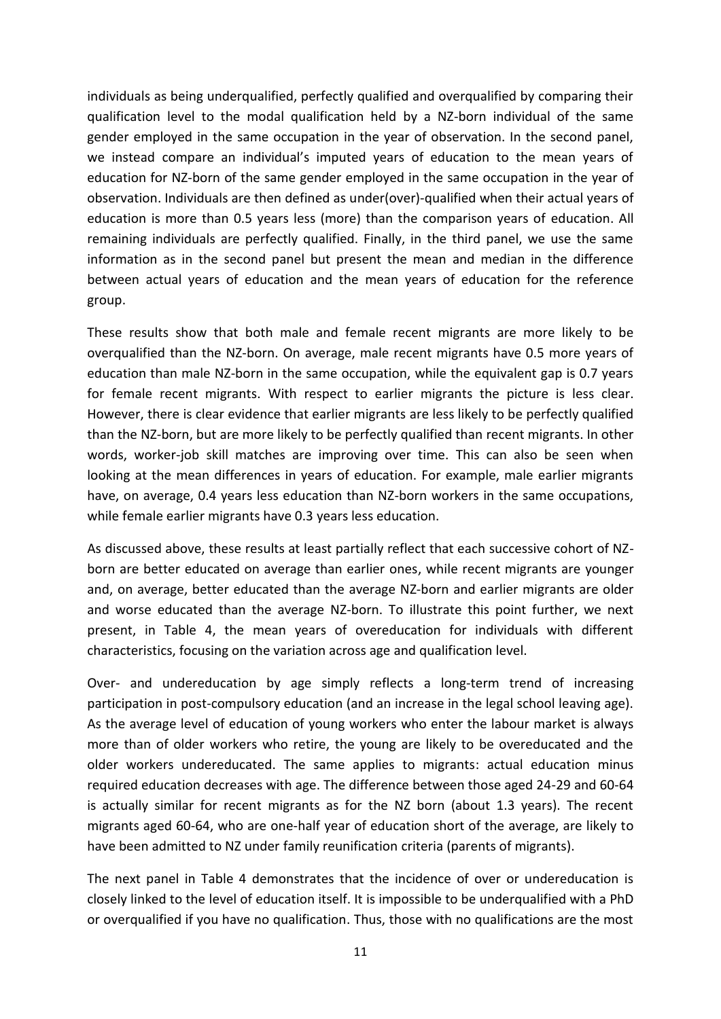individuals as being underqualified, perfectly qualified and overqualified by comparing their qualification level to the modal qualification held by a NZ-born individual of the same gender employed in the same occupation in the year of observation. In the second panel, we instead compare an individual's imputed years of education to the mean years of education for NZ-born of the same gender employed in the same occupation in the year of observation. Individuals are then defined as under(over)-qualified when their actual years of education is more than 0.5 years less (more) than the comparison years of education. All remaining individuals are perfectly qualified. Finally, in the third panel, we use the same information as in the second panel but present the mean and median in the difference between actual years of education and the mean years of education for the reference group.

These results show that both male and female recent migrants are more likely to be overqualified than the NZ-born. On average, male recent migrants have 0.5 more years of education than male NZ-born in the same occupation, while the equivalent gap is 0.7 years for female recent migrants. With respect to earlier migrants the picture is less clear. However, there is clear evidence that earlier migrants are less likely to be perfectly qualified than the NZ-born, but are more likely to be perfectly qualified than recent migrants. In other words, worker-job skill matches are improving over time. This can also be seen when looking at the mean differences in years of education. For example, male earlier migrants have, on average, 0.4 years less education than NZ-born workers in the same occupations, while female earlier migrants have 0.3 years less education.

As discussed above, these results at least partially reflect that each successive cohort of NZborn are better educated on average than earlier ones, while recent migrants are younger and, on average, better educated than the average NZ-born and earlier migrants are older and worse educated than the average NZ-born. To illustrate this point further, we next present, in Table 4, the mean years of overeducation for individuals with different characteristics, focusing on the variation across age and qualification level.

Over- and undereducation by age simply reflects a long-term trend of increasing participation in post-compulsory education (and an increase in the legal school leaving age). As the average level of education of young workers who enter the labour market is always more than of older workers who retire, the young are likely to be overeducated and the older workers undereducated. The same applies to migrants: actual education minus required education decreases with age. The difference between those aged 24-29 and 60-64 is actually similar for recent migrants as for the NZ born (about 1.3 years). The recent migrants aged 60-64, who are one-half year of education short of the average, are likely to have been admitted to NZ under family reunification criteria (parents of migrants).

The next panel in Table 4 demonstrates that the incidence of over or undereducation is closely linked to the level of education itself. It is impossible to be underqualified with a PhD or overqualified if you have no qualification. Thus, those with no qualifications are the most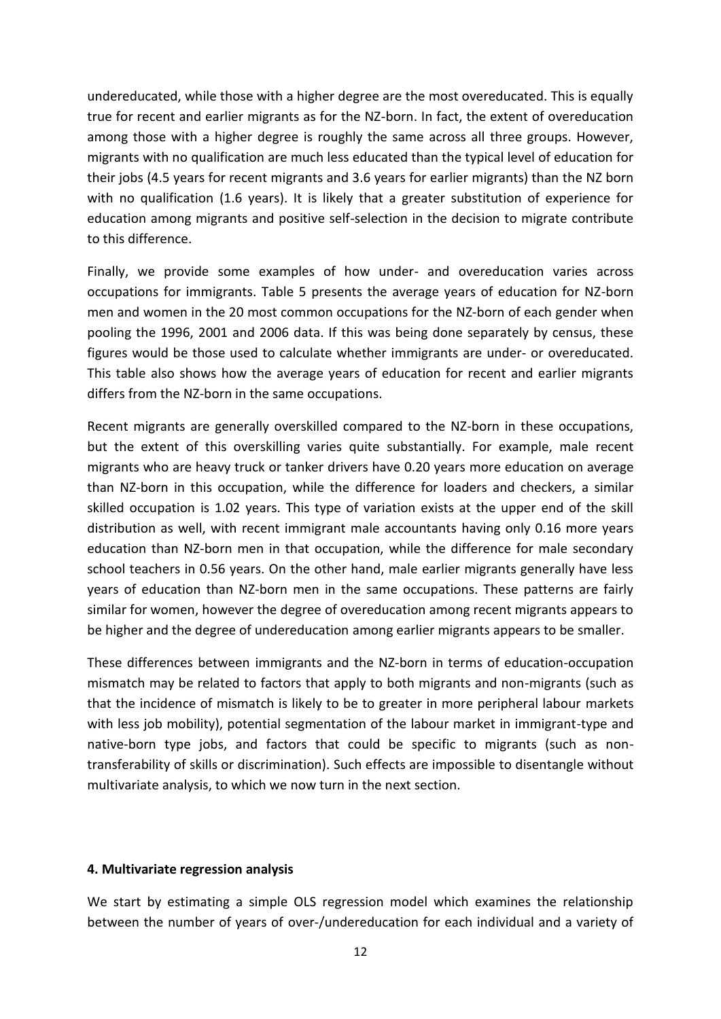undereducated, while those with a higher degree are the most overeducated. This is equally true for recent and earlier migrants as for the NZ-born. In fact, the extent of overeducation among those with a higher degree is roughly the same across all three groups. However, migrants with no qualification are much less educated than the typical level of education for their jobs (4.5 years for recent migrants and 3.6 years for earlier migrants) than the NZ born with no qualification (1.6 years). It is likely that a greater substitution of experience for education among migrants and positive self-selection in the decision to migrate contribute to this difference.

Finally, we provide some examples of how under- and overeducation varies across occupations for immigrants. Table 5 presents the average years of education for NZ-born men and women in the 20 most common occupations for the NZ-born of each gender when pooling the 1996, 2001 and 2006 data. If this was being done separately by census, these figures would be those used to calculate whether immigrants are under- or overeducated. This table also shows how the average years of education for recent and earlier migrants differs from the NZ-born in the same occupations.

Recent migrants are generally overskilled compared to the NZ-born in these occupations, but the extent of this overskilling varies quite substantially. For example, male recent migrants who are heavy truck or tanker drivers have 0.20 years more education on average than NZ-born in this occupation, while the difference for loaders and checkers, a similar skilled occupation is 1.02 years. This type of variation exists at the upper end of the skill distribution as well, with recent immigrant male accountants having only 0.16 more years education than NZ-born men in that occupation, while the difference for male secondary school teachers in 0.56 years. On the other hand, male earlier migrants generally have less years of education than NZ-born men in the same occupations. These patterns are fairly similar for women, however the degree of overeducation among recent migrants appears to be higher and the degree of undereducation among earlier migrants appears to be smaller.

These differences between immigrants and the NZ-born in terms of education-occupation mismatch may be related to factors that apply to both migrants and non-migrants (such as that the incidence of mismatch is likely to be to greater in more peripheral labour markets with less job mobility), potential segmentation of the labour market in immigrant-type and native-born type jobs, and factors that could be specific to migrants (such as nontransferability of skills or discrimination). Such effects are impossible to disentangle without multivariate analysis, to which we now turn in the next section.

#### **4. Multivariate regression analysis**

We start by estimating a simple OLS regression model which examines the relationship between the number of years of over-/undereducation for each individual and a variety of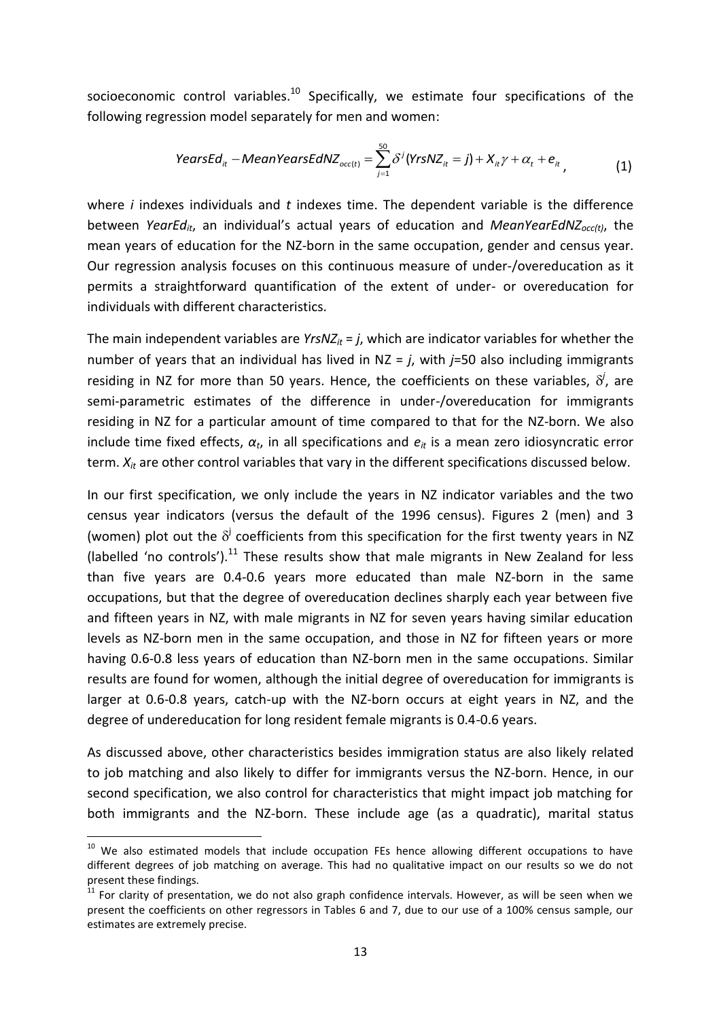socioeconomic control variables.<sup>10</sup> Specifically, we estimate four specifications of the

following regression model separately for men and women:  
\n
$$
YearsEd_{it} - MeanYearsEdNZ_{occ(t)} = \sum_{j=1}^{50} \delta^{j} (Yr s NZ_{it} = j) + X_{it} \gamma + \alpha_{t} + e_{it},
$$
\n(1)

where *i* indexes individuals and *t* indexes time. The dependent variable is the difference between *YearEdit*, an individual's actual years of education and *MeanYearEdNZocc(t)*, the mean years of education for the NZ-born in the same occupation, gender and census year. Our regression analysis focuses on this continuous measure of under-/overeducation as it permits a straightforward quantification of the extent of under- or overeducation for individuals with different characteristics.

The main independent variables are *YrsNZ*<sub>*it*</sub> = *j*, which are indicator variables for whether the number of years that an individual has lived in NZ = *j*, with *j*=50 also including immigrants residing in NZ for more than 50 years. Hence, the coefficients on these variables,  $\delta^j$ , are semi-parametric estimates of the difference in under-/overeducation for immigrants residing in NZ for a particular amount of time compared to that for the NZ-born. We also include time fixed effects,  $\alpha_t$ , in all specifications and  $e_t$  is a mean zero idiosyncratic error term. *Xit* are other control variables that vary in the different specifications discussed below.

In our first specification, we only include the years in NZ indicator variables and the two census year indicators (versus the default of the 1996 census). Figures 2 (men) and 3 (women) plot out the  $\delta^j$  coefficients from this specification for the first twenty years in NZ (labelled 'no controls').<sup>11</sup> These results show that male migrants in New Zealand for less than five years are 0.4-0.6 years more educated than male NZ-born in the same occupations, but that the degree of overeducation declines sharply each year between five and fifteen years in NZ, with male migrants in NZ for seven years having similar education levels as NZ-born men in the same occupation, and those in NZ for fifteen years or more having 0.6-0.8 less years of education than NZ-born men in the same occupations. Similar results are found for women, although the initial degree of overeducation for immigrants is larger at 0.6-0.8 years, catch-up with the NZ-born occurs at eight years in NZ, and the degree of undereducation for long resident female migrants is 0.4-0.6 years.

As discussed above, other characteristics besides immigration status are also likely related to job matching and also likely to differ for immigrants versus the NZ-born. Hence, in our second specification, we also control for characteristics that might impact job matching for both immigrants and the NZ-born. These include age (as a quadratic), marital status

**.** 

<sup>&</sup>lt;sup>10</sup> We also estimated models that include occupation FEs hence allowing different occupations to have different degrees of job matching on average. This had no qualitative impact on our results so we do not present these findings.

 $11$  For clarity of presentation, we do not also graph confidence intervals. However, as will be seen when we present the coefficients on other regressors in Tables 6 and 7, due to our use of a 100% census sample, our estimates are extremely precise.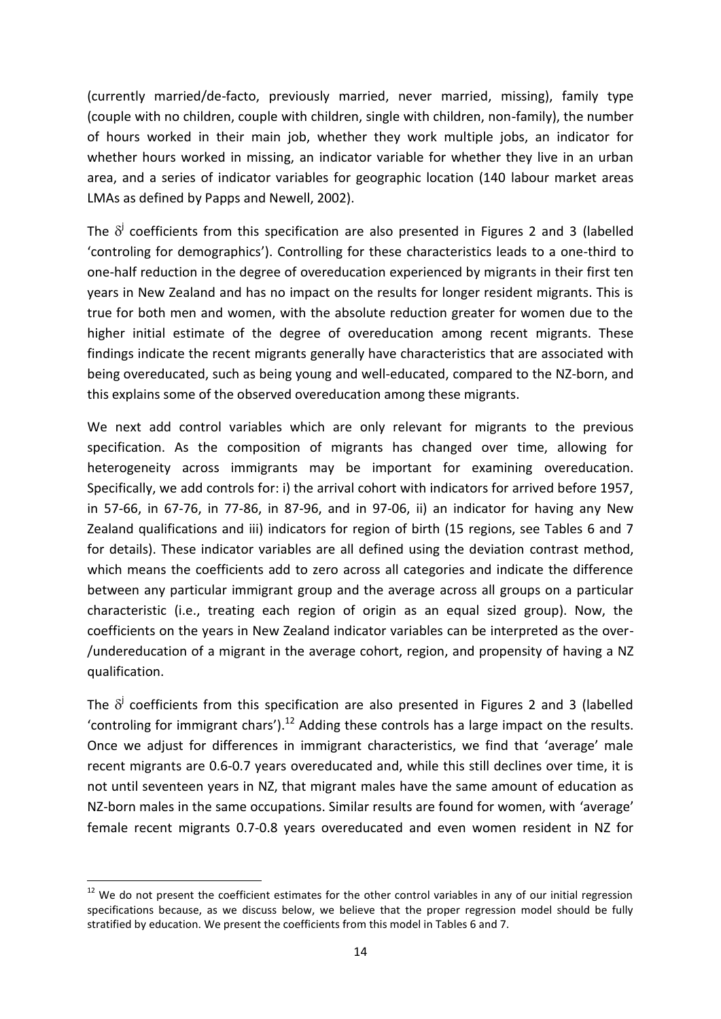(currently married/de-facto, previously married, never married, missing), family type (couple with no children, couple with children, single with children, non-family), the number of hours worked in their main job, whether they work multiple jobs, an indicator for whether hours worked in missing, an indicator variable for whether they live in an urban area, and a series of indicator variables for geographic location (140 labour market areas LMAs as defined by Papps and Newell, 2002).

The  $\delta^j$  coefficients from this specification are also presented in Figures 2 and 3 (labelled 'controling for demographics'). Controlling for these characteristics leads to a one-third to one-half reduction in the degree of overeducation experienced by migrants in their first ten years in New Zealand and has no impact on the results for longer resident migrants. This is true for both men and women, with the absolute reduction greater for women due to the higher initial estimate of the degree of overeducation among recent migrants. These findings indicate the recent migrants generally have characteristics that are associated with being overeducated, such as being young and well-educated, compared to the NZ-born, and this explains some of the observed overeducation among these migrants.

We next add control variables which are only relevant for migrants to the previous specification. As the composition of migrants has changed over time, allowing for heterogeneity across immigrants may be important for examining overeducation. Specifically, we add controls for: i) the arrival cohort with indicators for arrived before 1957, in 57-66, in 67-76, in 77-86, in 87-96, and in 97-06, ii) an indicator for having any New Zealand qualifications and iii) indicators for region of birth (15 regions, see Tables 6 and 7 for details). These indicator variables are all defined using the deviation contrast method, which means the coefficients add to zero across all categories and indicate the difference between any particular immigrant group and the average across all groups on a particular characteristic (i.e., treating each region of origin as an equal sized group). Now, the coefficients on the years in New Zealand indicator variables can be interpreted as the over- /undereducation of a migrant in the average cohort, region, and propensity of having a NZ qualification.

The  $\delta^j$  coefficients from this specification are also presented in Figures 2 and 3 (labelled 'controling for immigrant chars').<sup>12</sup> Adding these controls has a large impact on the results. Once we adjust for differences in immigrant characteristics, we find that 'average' male recent migrants are 0.6-0.7 years overeducated and, while this still declines over time, it is not until seventeen years in NZ, that migrant males have the same amount of education as NZ-born males in the same occupations. Similar results are found for women, with 'average' female recent migrants 0.7-0.8 years overeducated and even women resident in NZ for

**.** 

 $12$  We do not present the coefficient estimates for the other control variables in any of our initial regression specifications because, as we discuss below, we believe that the proper regression model should be fully stratified by education. We present the coefficients from this model in Tables 6 and 7.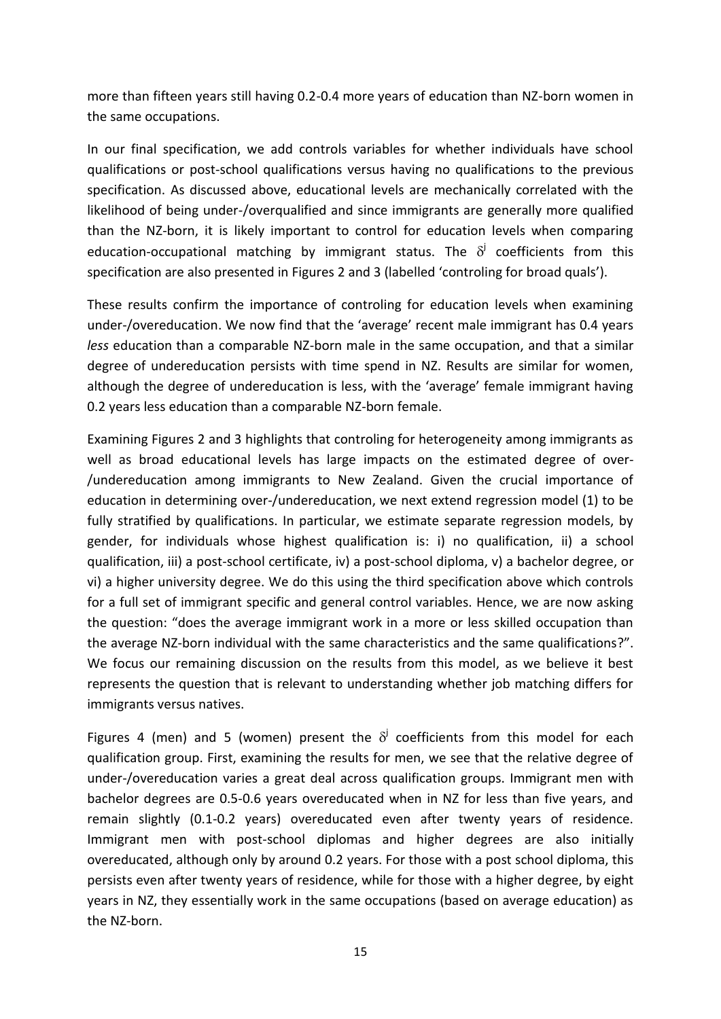more than fifteen years still having 0.2-0.4 more years of education than NZ-born women in the same occupations.

In our final specification, we add controls variables for whether individuals have school qualifications or post-school qualifications versus having no qualifications to the previous specification. As discussed above, educational levels are mechanically correlated with the likelihood of being under-/overqualified and since immigrants are generally more qualified than the NZ-born, it is likely important to control for education levels when comparing education-occupational matching by immigrant status. The  $\delta^j$  coefficients from this specification are also presented in Figures 2 and 3 (labelled 'controling for broad quals').

These results confirm the importance of controling for education levels when examining under-/overeducation. We now find that the 'average' recent male immigrant has 0.4 years *less* education than a comparable NZ-born male in the same occupation, and that a similar degree of undereducation persists with time spend in NZ. Results are similar for women, although the degree of undereducation is less, with the 'average' female immigrant having 0.2 years less education than a comparable NZ-born female.

Examining Figures 2 and 3 highlights that controling for heterogeneity among immigrants as well as broad educational levels has large impacts on the estimated degree of over- /undereducation among immigrants to New Zealand. Given the crucial importance of education in determining over-/undereducation, we next extend regression model (1) to be fully stratified by qualifications. In particular, we estimate separate regression models, by gender, for individuals whose highest qualification is: i) no qualification, ii) a school qualification, iii) a post-school certificate, iv) a post-school diploma, v) a bachelor degree, or vi) a higher university degree. We do this using the third specification above which controls for a full set of immigrant specific and general control variables. Hence, we are now asking the question: "does the average immigrant work in a more or less skilled occupation than the average NZ-born individual with the same characteristics and the same qualifications?". We focus our remaining discussion on the results from this model, as we believe it best represents the question that is relevant to understanding whether job matching differs for immigrants versus natives.

Figures 4 (men) and 5 (women) present the  $\delta^j$  coefficients from this model for each qualification group. First, examining the results for men, we see that the relative degree of under-/overeducation varies a great deal across qualification groups. Immigrant men with bachelor degrees are 0.5-0.6 years overeducated when in NZ for less than five years, and remain slightly (0.1-0.2 years) overeducated even after twenty years of residence. Immigrant men with post-school diplomas and higher degrees are also initially overeducated, although only by around 0.2 years. For those with a post school diploma, this persists even after twenty years of residence, while for those with a higher degree, by eight years in NZ, they essentially work in the same occupations (based on average education) as the NZ-born.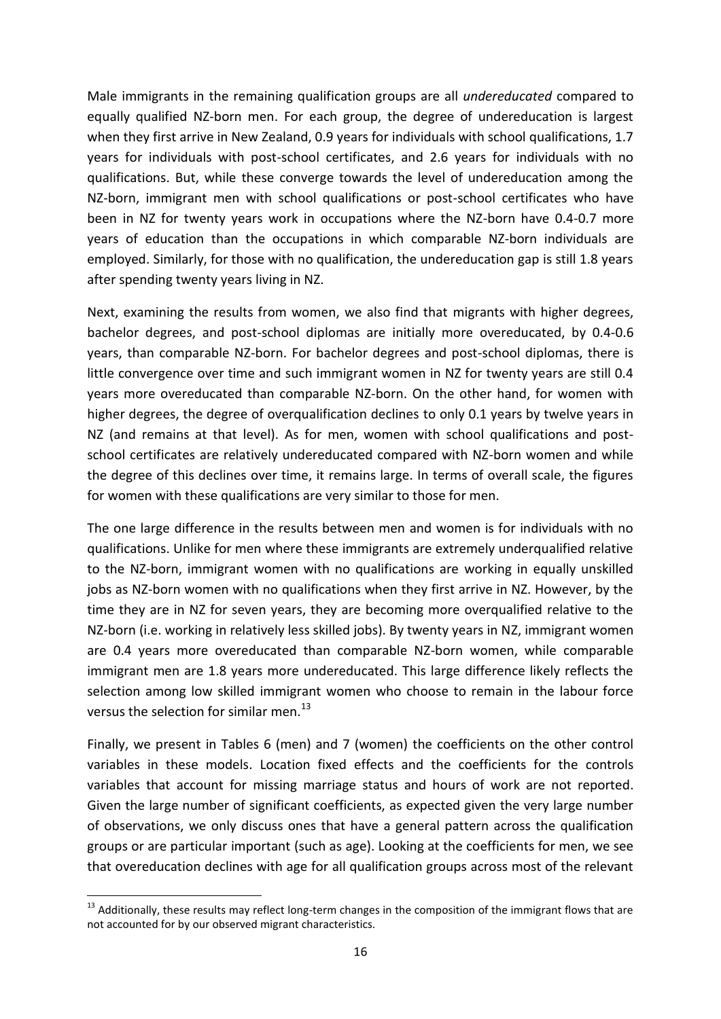Male immigrants in the remaining qualification groups are all *undereducated* compared to equally qualified NZ-born men. For each group, the degree of undereducation is largest when they first arrive in New Zealand, 0.9 years for individuals with school qualifications, 1.7 years for individuals with post-school certificates, and 2.6 years for individuals with no qualifications. But, while these converge towards the level of undereducation among the NZ-born, immigrant men with school qualifications or post-school certificates who have been in NZ for twenty years work in occupations where the NZ-born have 0.4-0.7 more years of education than the occupations in which comparable NZ-born individuals are employed. Similarly, for those with no qualification, the undereducation gap is still 1.8 years after spending twenty years living in NZ.

Next, examining the results from women, we also find that migrants with higher degrees, bachelor degrees, and post-school diplomas are initially more overeducated, by 0.4-0.6 years, than comparable NZ-born. For bachelor degrees and post-school diplomas, there is little convergence over time and such immigrant women in NZ for twenty years are still 0.4 years more overeducated than comparable NZ-born. On the other hand, for women with higher degrees, the degree of overqualification declines to only 0.1 years by twelve years in NZ (and remains at that level). As for men, women with school qualifications and postschool certificates are relatively undereducated compared with NZ-born women and while the degree of this declines over time, it remains large. In terms of overall scale, the figures for women with these qualifications are very similar to those for men.

The one large difference in the results between men and women is for individuals with no qualifications. Unlike for men where these immigrants are extremely underqualified relative to the NZ-born, immigrant women with no qualifications are working in equally unskilled jobs as NZ-born women with no qualifications when they first arrive in NZ. However, by the time they are in NZ for seven years, they are becoming more overqualified relative to the NZ-born (i.e. working in relatively less skilled jobs). By twenty years in NZ, immigrant women are 0.4 years more overeducated than comparable NZ-born women, while comparable immigrant men are 1.8 years more undereducated. This large difference likely reflects the selection among low skilled immigrant women who choose to remain in the labour force versus the selection for similar men. $^{13}$ 

Finally, we present in Tables 6 (men) and 7 (women) the coefficients on the other control variables in these models. Location fixed effects and the coefficients for the controls variables that account for missing marriage status and hours of work are not reported. Given the large number of significant coefficients, as expected given the very large number of observations, we only discuss ones that have a general pattern across the qualification groups or are particular important (such as age). Looking at the coefficients for men, we see that overeducation declines with age for all qualification groups across most of the relevant

**<sup>.</sup>**  $^{13}$  Additionally, these results may reflect long-term changes in the composition of the immigrant flows that are not accounted for by our observed migrant characteristics.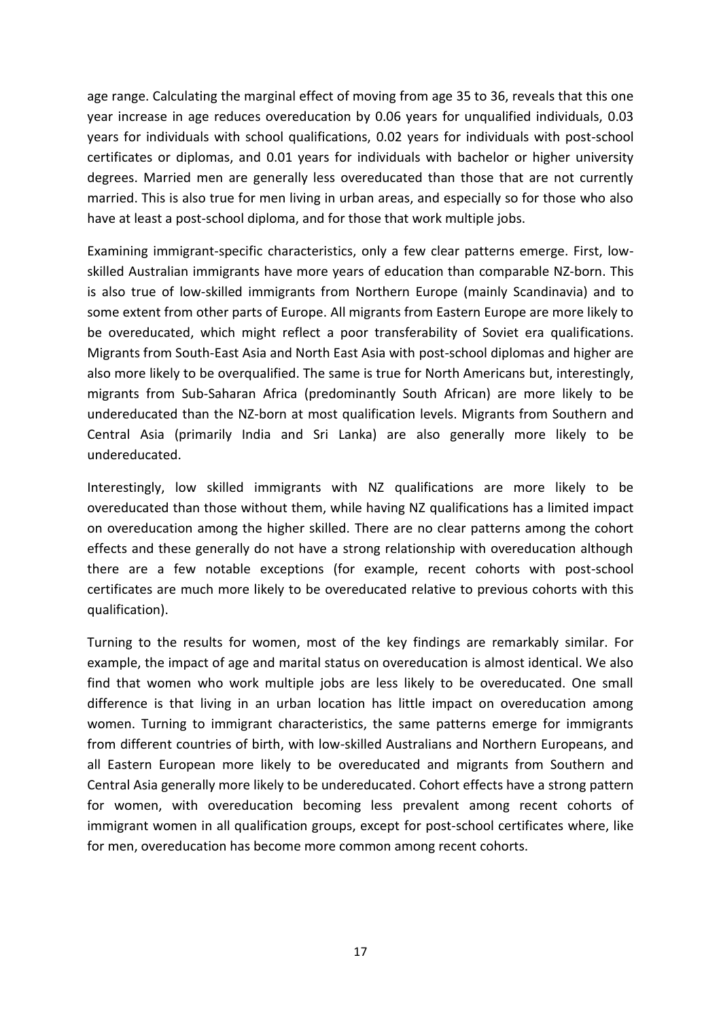age range. Calculating the marginal effect of moving from age 35 to 36, reveals that this one year increase in age reduces overeducation by 0.06 years for unqualified individuals, 0.03 years for individuals with school qualifications, 0.02 years for individuals with post-school certificates or diplomas, and 0.01 years for individuals with bachelor or higher university degrees. Married men are generally less overeducated than those that are not currently married. This is also true for men living in urban areas, and especially so for those who also have at least a post-school diploma, and for those that work multiple jobs.

Examining immigrant-specific characteristics, only a few clear patterns emerge. First, lowskilled Australian immigrants have more years of education than comparable NZ-born. This is also true of low-skilled immigrants from Northern Europe (mainly Scandinavia) and to some extent from other parts of Europe. All migrants from Eastern Europe are more likely to be overeducated, which might reflect a poor transferability of Soviet era qualifications. Migrants from South-East Asia and North East Asia with post-school diplomas and higher are also more likely to be overqualified. The same is true for North Americans but, interestingly, migrants from Sub-Saharan Africa (predominantly South African) are more likely to be undereducated than the NZ-born at most qualification levels. Migrants from Southern and Central Asia (primarily India and Sri Lanka) are also generally more likely to be undereducated.

Interestingly, low skilled immigrants with NZ qualifications are more likely to be overeducated than those without them, while having NZ qualifications has a limited impact on overeducation among the higher skilled. There are no clear patterns among the cohort effects and these generally do not have a strong relationship with overeducation although there are a few notable exceptions (for example, recent cohorts with post-school certificates are much more likely to be overeducated relative to previous cohorts with this qualification).

Turning to the results for women, most of the key findings are remarkably similar. For example, the impact of age and marital status on overeducation is almost identical. We also find that women who work multiple jobs are less likely to be overeducated. One small difference is that living in an urban location has little impact on overeducation among women. Turning to immigrant characteristics, the same patterns emerge for immigrants from different countries of birth, with low-skilled Australians and Northern Europeans, and all Eastern European more likely to be overeducated and migrants from Southern and Central Asia generally more likely to be undereducated. Cohort effects have a strong pattern for women, with overeducation becoming less prevalent among recent cohorts of immigrant women in all qualification groups, except for post-school certificates where, like for men, overeducation has become more common among recent cohorts.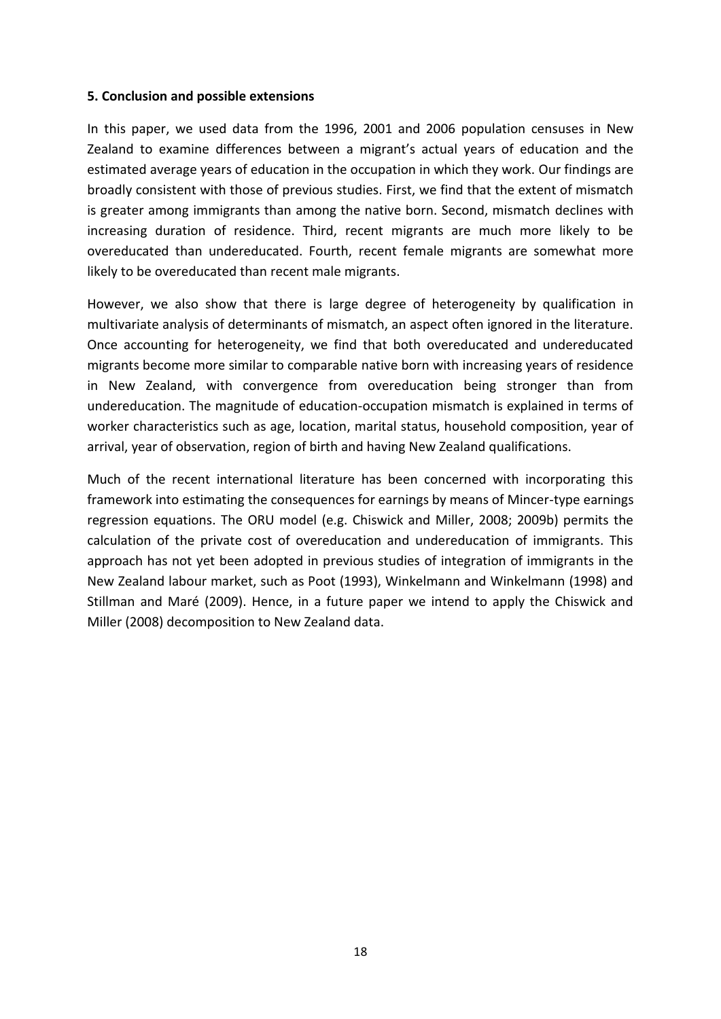#### **5. Conclusion and possible extensions**

In this paper, we used data from the 1996, 2001 and 2006 population censuses in New Zealand to examine differences between a migrant's actual years of education and the estimated average years of education in the occupation in which they work. Our findings are broadly consistent with those of previous studies. First, we find that the extent of mismatch is greater among immigrants than among the native born. Second, mismatch declines with increasing duration of residence. Third, recent migrants are much more likely to be overeducated than undereducated. Fourth, recent female migrants are somewhat more likely to be overeducated than recent male migrants.

However, we also show that there is large degree of heterogeneity by qualification in multivariate analysis of determinants of mismatch, an aspect often ignored in the literature. Once accounting for heterogeneity, we find that both overeducated and undereducated migrants become more similar to comparable native born with increasing years of residence in New Zealand, with convergence from overeducation being stronger than from undereducation. The magnitude of education-occupation mismatch is explained in terms of worker characteristics such as age, location, marital status, household composition, year of arrival, year of observation, region of birth and having New Zealand qualifications.

Much of the recent international literature has been concerned with incorporating this framework into estimating the consequences for earnings by means of Mincer-type earnings regression equations. The ORU model (e.g. Chiswick and Miller, 2008; 2009b) permits the calculation of the private cost of overeducation and undereducation of immigrants. This approach has not yet been adopted in previous studies of integration of immigrants in the New Zealand labour market, such as Poot (1993), Winkelmann and Winkelmann (1998) and Stillman and Maré (2009). Hence, in a future paper we intend to apply the Chiswick and Miller (2008) decomposition to New Zealand data.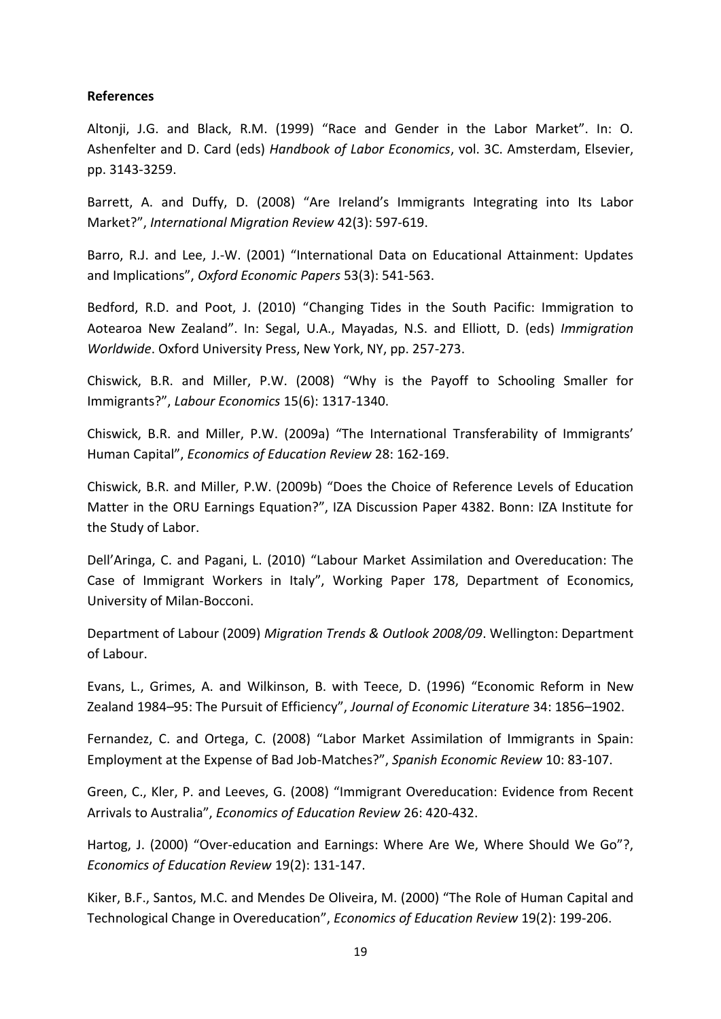#### **References**

Altonji, J.G. and Black, R.M. (1999) "Race and Gender in the Labor Market". In: O. Ashenfelter and D. Card (eds) *Handbook of Labor Economics*, vol. 3C. Amsterdam, Elsevier, pp. 3143-3259.

Barrett, A. and Duffy, D. (2008) "Are Ireland's Immigrants Integrating into Its Labor Market?", *International Migration Review* 42(3): 597-619.

Barro, R.J. and Lee, J.-W. (2001) "International Data on Educational Attainment: Updates and Implications", *Oxford Economic Papers* 53(3): 541-563.

Bedford, R.D. and Poot, J. (2010) "Changing Tides in the South Pacific: Immigration to Aotearoa New Zealand". In: Segal, U.A., Mayadas, N.S. and Elliott, D. (eds) *Immigration Worldwide*. Oxford University Press, New York, NY, pp. 257-273.

Chiswick, B.R. and Miller, P.W. (2008) "Why is the Payoff to Schooling Smaller for Immigrants?", *Labour Economics* 15(6): 1317-1340.

Chiswick, B.R. and Miller, P.W. (2009a) "The International Transferability of Immigrants' Human Capital", *Economics of Education Review* 28: 162-169.

Chiswick, B.R. and Miller, P.W. (2009b) "Does the Choice of Reference Levels of Education Matter in the ORU Earnings Equation?", IZA Discussion Paper 4382. Bonn: IZA Institute for the Study of Labor.

Dell'Aringa, C. and Pagani, L. (2010) "Labour Market Assimilation and Overeducation: The Case of Immigrant Workers in Italy", Working Paper 178, Department of Economics, University of Milan-Bocconi.

Department of Labour (2009) *Migration Trends & Outlook 2008/09*. Wellington: Department of Labour.

Evans, L., Grimes, A. and Wilkinson, B. with Teece, D. (1996) "Economic Reform in New Zealand 1984–95: The Pursuit of Efficiency", *Journal of Economic Literature* 34: 1856–1902.

Fernandez, C. and Ortega, C. (2008) "Labor Market Assimilation of Immigrants in Spain: Employment at the Expense of Bad Job-Matches?", *Spanish Economic Review* 10: 83-107.

Green, C., Kler, P. and Leeves, G. (2008) "Immigrant Overeducation: Evidence from Recent Arrivals to Australia", *Economics of Education Review* 26: 420-432.

Hartog, J. (2000) "Over-education and Earnings: Where Are We, Where Should We Go"?, *Economics of Education Review* 19(2): 131-147.

Kiker, B.F., Santos, M.C. and Mendes De Oliveira, M. (2000) "The Role of Human Capital and Technological Change in Overeducation", *Economics of Education Review* 19(2): 199-206.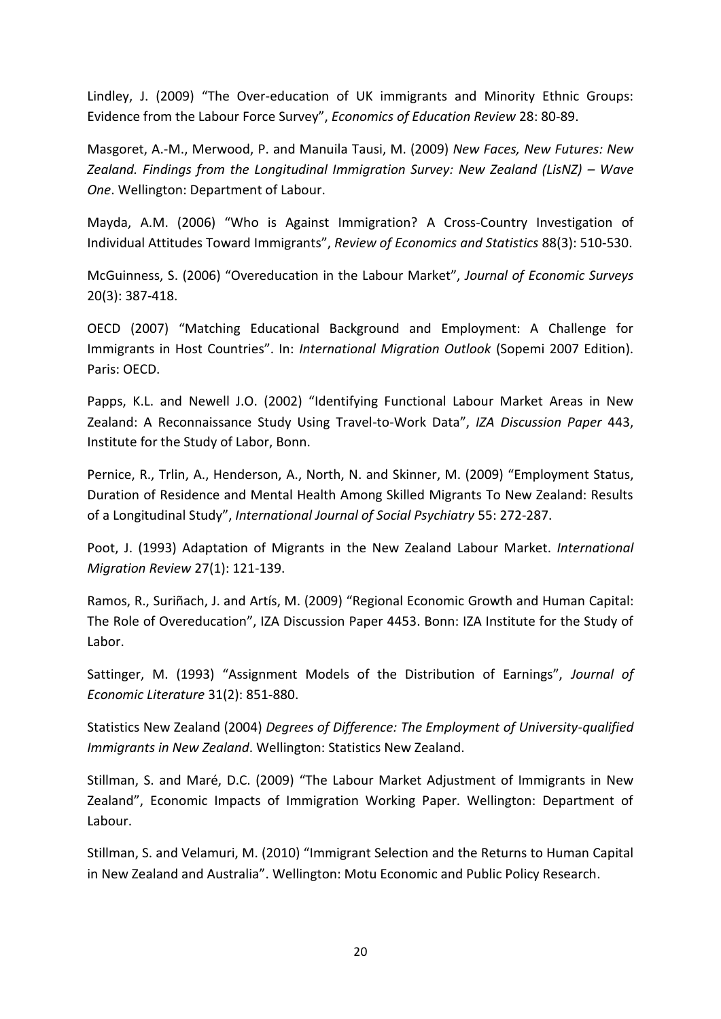Lindley, J. (2009) "The Over-education of UK immigrants and Minority Ethnic Groups: Evidence from the Labour Force Survey", *Economics of Education Review* 28: 80-89.

Masgoret, A.-M., Merwood, P. and Manuila Tausi, M. (2009) *New Faces, New Futures: New Zealand. Findings from the Longitudinal Immigration Survey: New Zealand (LisNZ) – Wave One*. Wellington: Department of Labour.

Mayda, A.M. (2006) "Who is Against Immigration? A Cross-Country Investigation of Individual Attitudes Toward Immigrants", *Review of Economics and Statistics* 88(3): 510-530.

McGuinness, S. (2006) "Overeducation in the Labour Market", *Journal of Economic Surveys* 20(3): 387-418.

OECD (2007) "Matching Educational Background and Employment: A Challenge for Immigrants in Host Countries". In: *International Migration Outlook* (Sopemi 2007 Edition). Paris: OECD.

Papps, K.L. and Newell J.O. (2002) "Identifying Functional Labour Market Areas in New Zealand: A Reconnaissance Study Using Travel-to-Work Data", *IZA Discussion Paper* 443, Institute for the Study of Labor, Bonn.

Pernice, R., Trlin, A., Henderson, A., North, N. and Skinner, M. (2009) "Employment Status, Duration of Residence and Mental Health Among Skilled Migrants To New Zealand: Results of a Longitudinal Study", *International Journal of Social Psychiatry* 55: 272-287.

Poot, J. (1993) Adaptation of Migrants in the New Zealand Labour Market. *International Migration Review* 27(1): 121-139.

Ramos, R., Suriñach, J. and Artís, M. (2009) "Regional Economic Growth and Human Capital: The Role of Overeducation", IZA Discussion Paper 4453. Bonn: IZA Institute for the Study of Labor.

Sattinger, M. (1993) "Assignment Models of the Distribution of Earnings", *Journal of Economic Literature* 31(2): 851-880.

Statistics New Zealand (2004) *Degrees of Difference: The Employment of University-qualified Immigrants in New Zealand*. Wellington: Statistics New Zealand.

Stillman, S. and Maré, D.C. (2009) "The Labour Market Adjustment of Immigrants in New Zealand", Economic Impacts of Immigration Working Paper. Wellington: Department of Labour.

Stillman, S. and Velamuri, M. (2010) "Immigrant Selection and the Returns to Human Capital in New Zealand and Australia". Wellington: Motu Economic and Public Policy Research.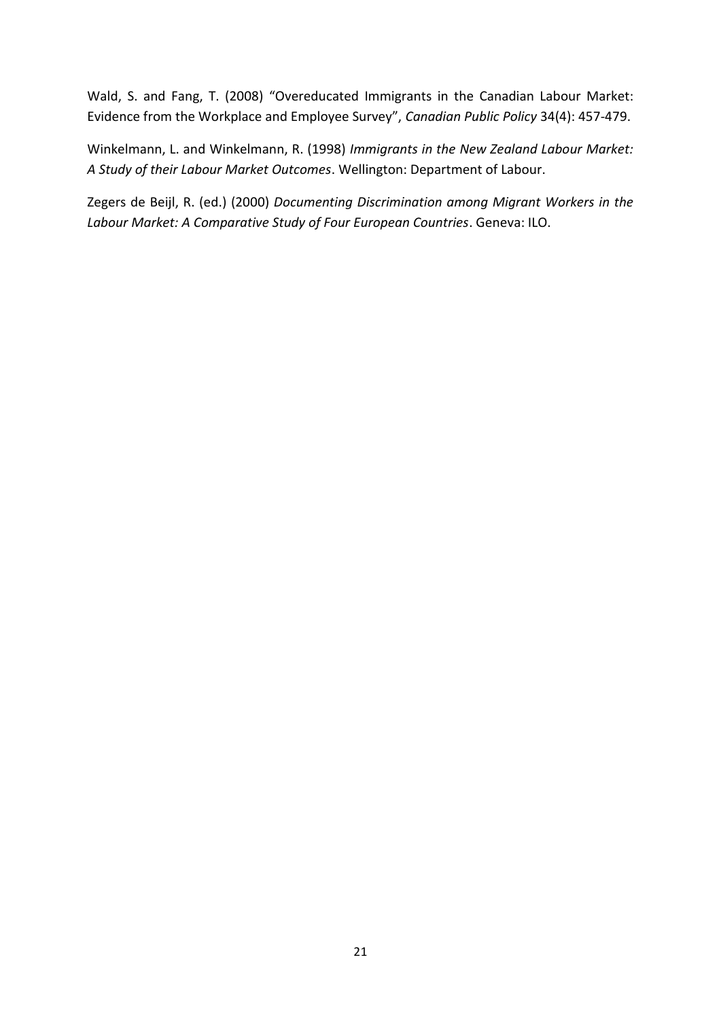Wald, S. and Fang, T. (2008) "Overeducated Immigrants in the Canadian Labour Market: Evidence from the Workplace and Employee Survey", *Canadian Public Policy* 34(4): 457-479.

Winkelmann, L. and Winkelmann, R. (1998) *Immigrants in the New Zealand Labour Market: A Study of their Labour Market Outcomes*. Wellington: Department of Labour.

Zegers de Beijl, R. (ed.) (2000) *Documenting Discrimination among Migrant Workers in the Labour Market: A Comparative Study of Four European Countries*. Geneva: ILO.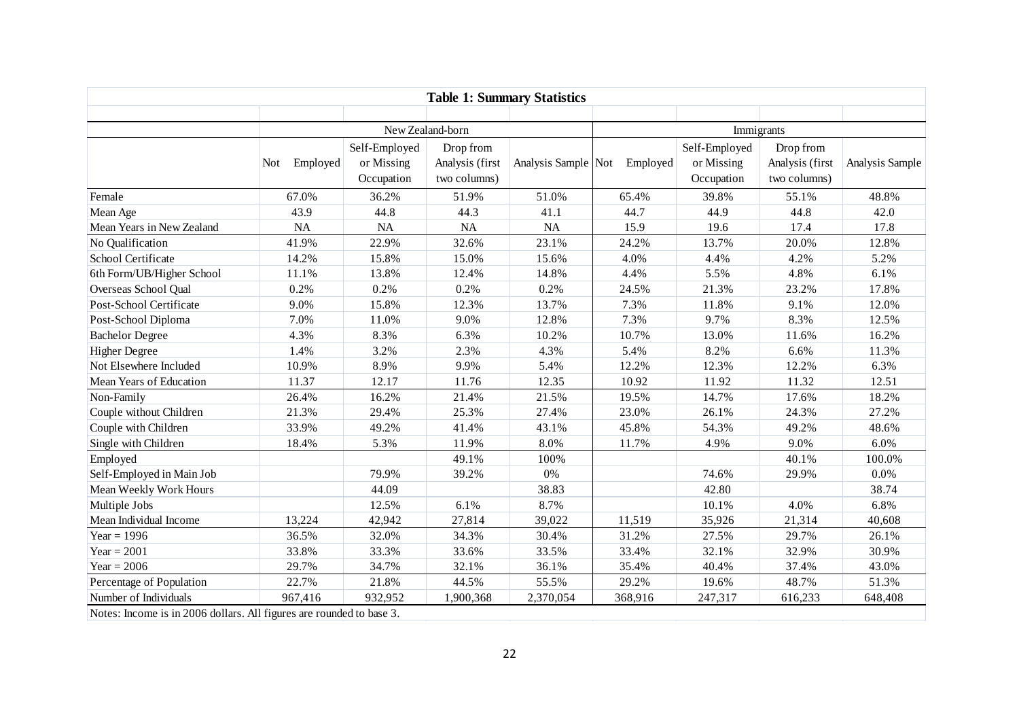|                                                                      | <b>Table 1: Summary Statistics</b> |                                           |                                              |                     |            |                                           |                                              |                 |  |
|----------------------------------------------------------------------|------------------------------------|-------------------------------------------|----------------------------------------------|---------------------|------------|-------------------------------------------|----------------------------------------------|-----------------|--|
|                                                                      |                                    | New Zealand-born                          |                                              |                     | Immigrants |                                           |                                              |                 |  |
|                                                                      | Employed<br>Not                    | Self-Employed<br>or Missing<br>Occupation | Drop from<br>Analysis (first<br>two columns) | Analysis Sample Not | Employed   | Self-Employed<br>or Missing<br>Occupation | Drop from<br>Analysis (first<br>two columns) | Analysis Sample |  |
| Female                                                               | 67.0%                              | 36.2%                                     | 51.9%                                        | 51.0%               | 65.4%      | 39.8%                                     | 55.1%                                        | 48.8%           |  |
| Mean Age                                                             | 43.9                               | 44.8                                      | 44.3                                         | 41.1                | 44.7       | 44.9                                      | 44.8                                         | 42.0            |  |
| Mean Years in New Zealand                                            | NA                                 | NA                                        | <b>NA</b>                                    | NA                  | 15.9       | 19.6                                      | 17.4                                         | 17.8            |  |
| No Qualification                                                     | 41.9%                              | 22.9%                                     | 32.6%                                        | 23.1%               | 24.2%      | 13.7%                                     | 20.0%                                        | 12.8%           |  |
| School Certificate                                                   | 14.2%                              | 15.8%                                     | 15.0%                                        | 15.6%               | 4.0%       | 4.4%                                      | 4.2%                                         | 5.2%            |  |
| 6th Form/UB/Higher School                                            | 11.1%                              | 13.8%                                     | 12.4%                                        | 14.8%               | 4.4%       | 5.5%                                      | 4.8%                                         | 6.1%            |  |
| Overseas School Qual                                                 | 0.2%                               | 0.2%                                      | 0.2%                                         | 0.2%                | 24.5%      | 21.3%                                     | 23.2%                                        | 17.8%           |  |
| Post-School Certificate                                              | 9.0%                               | 15.8%                                     | 12.3%                                        | 13.7%               | 7.3%       | 11.8%                                     | 9.1%                                         | 12.0%           |  |
| Post-School Diploma                                                  | 7.0%                               | 11.0%                                     | 9.0%                                         | 12.8%               | 7.3%       | 9.7%                                      | 8.3%                                         | 12.5%           |  |
| <b>Bachelor Degree</b>                                               | 4.3%                               | 8.3%                                      | 6.3%                                         | 10.2%               | 10.7%      | 13.0%                                     | 11.6%                                        | 16.2%           |  |
| <b>Higher Degree</b>                                                 | 1.4%                               | 3.2%                                      | 2.3%                                         | 4.3%                | 5.4%       | 8.2%                                      | 6.6%                                         | 11.3%           |  |
| Not Elsewhere Included                                               | 10.9%                              | 8.9%                                      | 9.9%                                         | 5.4%                | 12.2%      | 12.3%                                     | 12.2%                                        | 6.3%            |  |
| Mean Years of Education                                              | 11.37                              | 12.17                                     | 11.76                                        | 12.35               | 10.92      | 11.92                                     | 11.32                                        | 12.51           |  |
| Non-Family                                                           | 26.4%                              | 16.2%                                     | 21.4%                                        | 21.5%               | 19.5%      | 14.7%                                     | 17.6%                                        | 18.2%           |  |
| Couple without Children                                              | 21.3%                              | 29.4%                                     | 25.3%                                        | 27.4%               | 23.0%      | 26.1%                                     | 24.3%                                        | 27.2%           |  |
| Couple with Children                                                 | 33.9%                              | 49.2%                                     | 41.4%                                        | 43.1%               | 45.8%      | 54.3%                                     | 49.2%                                        | 48.6%           |  |
| Single with Children                                                 | 18.4%                              | 5.3%                                      | 11.9%                                        | 8.0%                | 11.7%      | 4.9%                                      | 9.0%                                         | 6.0%            |  |
| Employed                                                             |                                    |                                           | 49.1%                                        | 100%                |            |                                           | 40.1%                                        | 100.0%          |  |
| Self-Employed in Main Job                                            |                                    | 79.9%                                     | 39.2%                                        | 0%                  |            | 74.6%                                     | 29.9%                                        | 0.0%            |  |
| Mean Weekly Work Hours                                               |                                    | 44.09                                     |                                              | 38.83               |            | 42.80                                     |                                              | 38.74           |  |
| Multiple Jobs                                                        |                                    | 12.5%                                     | 6.1%                                         | 8.7%                |            | 10.1%                                     | 4.0%                                         | 6.8%            |  |
| Mean Individual Income                                               | 13,224                             | 42,942                                    | 27,814                                       | 39,022              | 11,519     | 35,926                                    | 21,314                                       | 40,608          |  |
| Year = $1996$                                                        | 36.5%                              | 32.0%                                     | 34.3%                                        | 30.4%               | 31.2%      | 27.5%                                     | 29.7%                                        | 26.1%           |  |
| Year = $2001$                                                        | 33.8%                              | 33.3%                                     | 33.6%                                        | 33.5%               | 33.4%      | 32.1%                                     | 32.9%                                        | 30.9%           |  |
| Year = $2006$                                                        | 29.7%                              | 34.7%                                     | 32.1%                                        | 36.1%               | 35.4%      | 40.4%                                     | 37.4%                                        | 43.0%           |  |
| Percentage of Population                                             | 22.7%                              | 21.8%                                     | 44.5%                                        | 55.5%               | 29.2%      | 19.6%                                     | 48.7%                                        | 51.3%           |  |
| Number of Individuals                                                | 967,416                            | 932,952                                   | 1,900,368                                    | 2,370,054           | 368,916    | 247,317                                   | 616,233                                      | 648,408         |  |
| Notes: Income is in 2006 dollars. All figures are rounded to base 3. |                                    |                                           |                                              |                     |            |                                           |                                              |                 |  |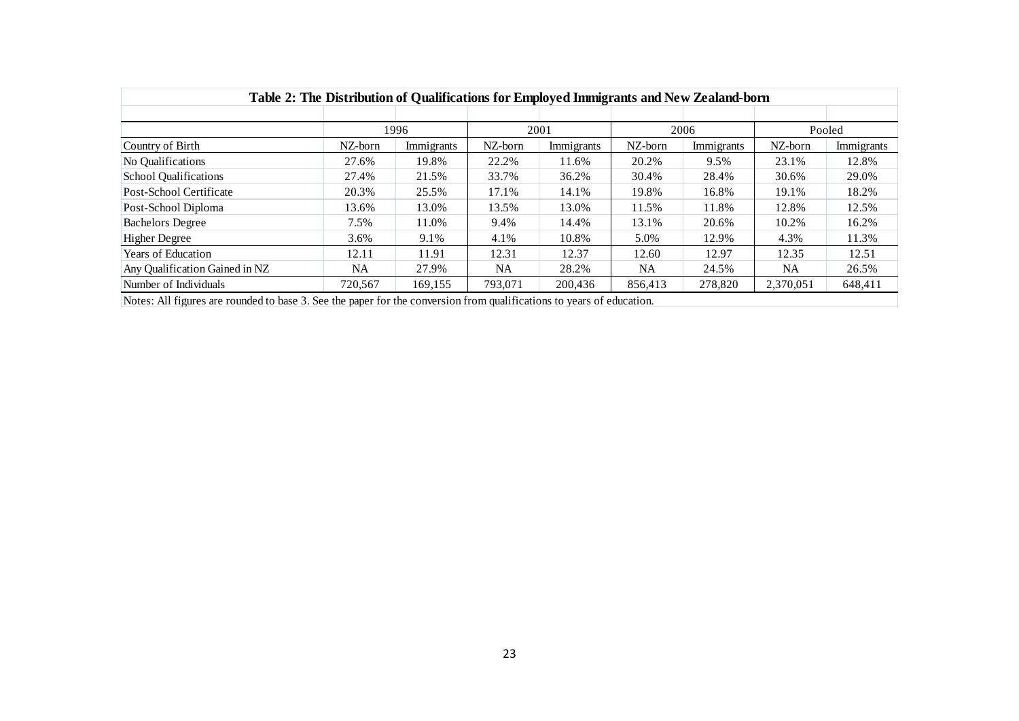| Table 2: The Distribution of Qualifications for Employed Immigrants and New Zealand-born                              |          |              |          |            |         |            |           |            |  |
|-----------------------------------------------------------------------------------------------------------------------|----------|--------------|----------|------------|---------|------------|-----------|------------|--|
|                                                                                                                       |          | 1996<br>2001 |          | 2006       |         |            | Pooled    |            |  |
| Country of Birth                                                                                                      | NZ-born  | Immigrants   | NZ-born  | Immigrants | NZ-born | Immigrants | NZ-born   | Immigrants |  |
| No Qualifications                                                                                                     | 27.6%    | 19.8%        | 22.2%    | 11.6%      | 20.2%   | 9.5%       | 23.1%     | 12.8%      |  |
| <b>School Qualifications</b>                                                                                          | 27.4%    | 21.5%        | 33.7%    | 36.2%      | 30.4%   | 28.4%      | 30.6%     | 29.0%      |  |
| Post-School Certificate                                                                                               | 20.3%    | 25.5%        | 17.1%    | 14.1%      | 19.8%   | 16.8%      | 19.1%     | 18.2%      |  |
| Post-School Diploma                                                                                                   | 13.6%    | 13.0%        | 13.5%    | 13.0%      | 11.5%   | 11.8%      | 12.8%     | 12.5%      |  |
| <b>Bachelors Degree</b>                                                                                               | 7.5%     | 11.0%        | 9.4%     | 14.4%      | 13.1%   | 20.6%      | 10.2%     | 16.2%      |  |
| <b>Higher Degree</b>                                                                                                  | 3.6%     | 9.1%         | 4.1%     | 10.8%      | 5.0%    | 12.9%      | 4.3%      | 11.3%      |  |
| Years of Education                                                                                                    | 12.11    | 11.91        | 12.31    | 12.37      | 12.60   | 12.97      | 12.35     | 12.51      |  |
| Any Qualification Gained in NZ                                                                                        | $\rm NA$ | 27.9%        | $\rm NA$ | 28.2%      | NA      | 24.5%      | $\rm NA$  | 26.5%      |  |
| Number of Individuals                                                                                                 | 720,567  | 169,155      | 793,071  | 200,436    | 856,413 | 278,820    | 2,370,051 | 648,411    |  |
| Notes: All figures are rounded to base 3. See the paper for the conversion from qualifications to years of education. |          |              |          |            |         |            |           |            |  |
|                                                                                                                       |          |              |          |            |         |            |           |            |  |
|                                                                                                                       |          |              | 23       |            |         |            |           |            |  |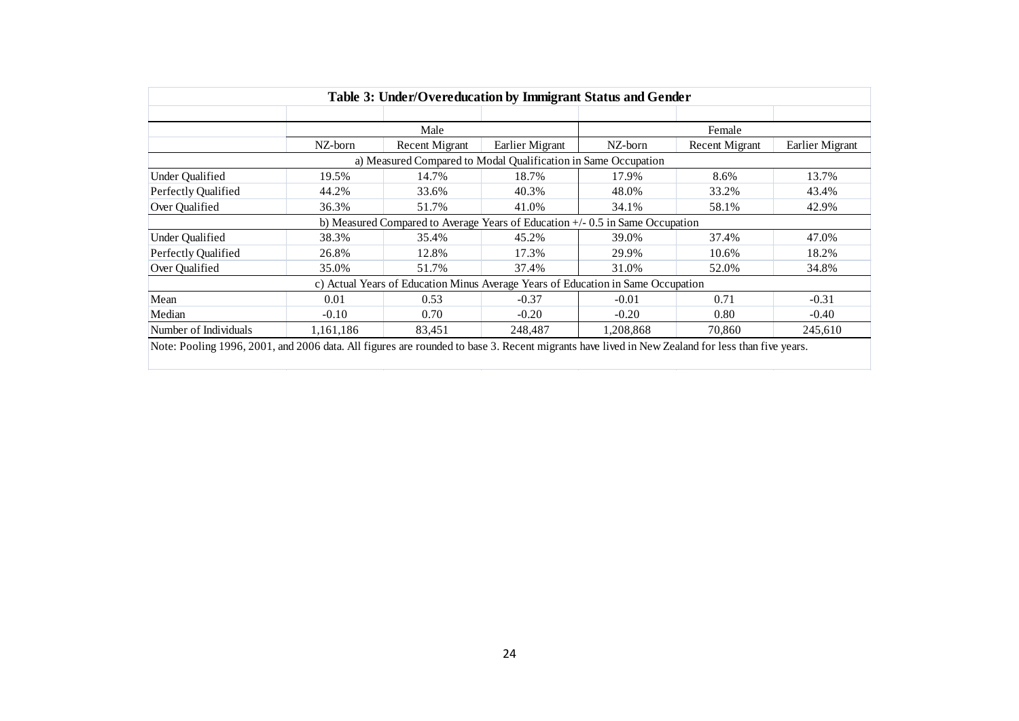|                        | Table 3: Under/Overeducation by Immigrant Status and Gender |                                                                                  |                 |           |                       |                 |  |  |  |
|------------------------|-------------------------------------------------------------|----------------------------------------------------------------------------------|-----------------|-----------|-----------------------|-----------------|--|--|--|
|                        |                                                             |                                                                                  |                 |           |                       |                 |  |  |  |
|                        |                                                             | Male                                                                             |                 |           | Female                |                 |  |  |  |
|                        | NZ-born                                                     | <b>Recent Migrant</b>                                                            | Earlier Migrant | NZ-born   | <b>Recent Migrant</b> | Earlier Migrant |  |  |  |
|                        |                                                             | a) Measured Compared to Modal Qualification in Same Occupation                   |                 |           |                       |                 |  |  |  |
| <b>Under Qualified</b> | 19.5%                                                       | 14.7%                                                                            | 18.7%           | 17.9%     | 8.6%                  | 13.7%           |  |  |  |
| Perfectly Qualified    | 44.2%                                                       | 33.6%                                                                            | 40.3%           | 48.0%     | 33.2%                 | 43.4%           |  |  |  |
| Over Qualified         | 36.3%                                                       | 51.7%                                                                            | 41.0%           | 34.1%     | 58.1%                 | 42.9%           |  |  |  |
|                        |                                                             | b) Measured Compared to Average Years of Education +/- 0.5 in Same Occupation    |                 |           |                       |                 |  |  |  |
| <b>Under Qualified</b> | 38.3%                                                       | 35.4%                                                                            | 45.2%           | 39.0%     | 37.4%                 | 47.0%           |  |  |  |
| Perfectly Qualified    | 26.8%                                                       | 12.8%                                                                            | 17.3%           | 29.9%     | 10.6%                 | 18.2%           |  |  |  |
| Over Qualified         | 35.0%                                                       | 51.7%                                                                            | 37.4%           | 31.0%     | 52.0%                 | 34.8%           |  |  |  |
|                        |                                                             | c) Actual Years of Education Minus Average Years of Education in Same Occupation |                 |           |                       |                 |  |  |  |
| Mean                   | 0.01                                                        | 0.53                                                                             | $-0.37$         | $-0.01$   | 0.71                  | $-0.31$         |  |  |  |
| Median                 | $-0.10$                                                     | 0.70                                                                             | $-0.20$         | $-0.20$   | $0.80\,$              | $-0.40$         |  |  |  |
| Number of Individuals  | 1,161,186                                                   | 83,451                                                                           | 248,487         | 1,208,868 | 70,860                | 245,610         |  |  |  |
|                        |                                                             |                                                                                  |                 |           |                       |                 |  |  |  |
|                        |                                                             |                                                                                  | 24              |           |                       |                 |  |  |  |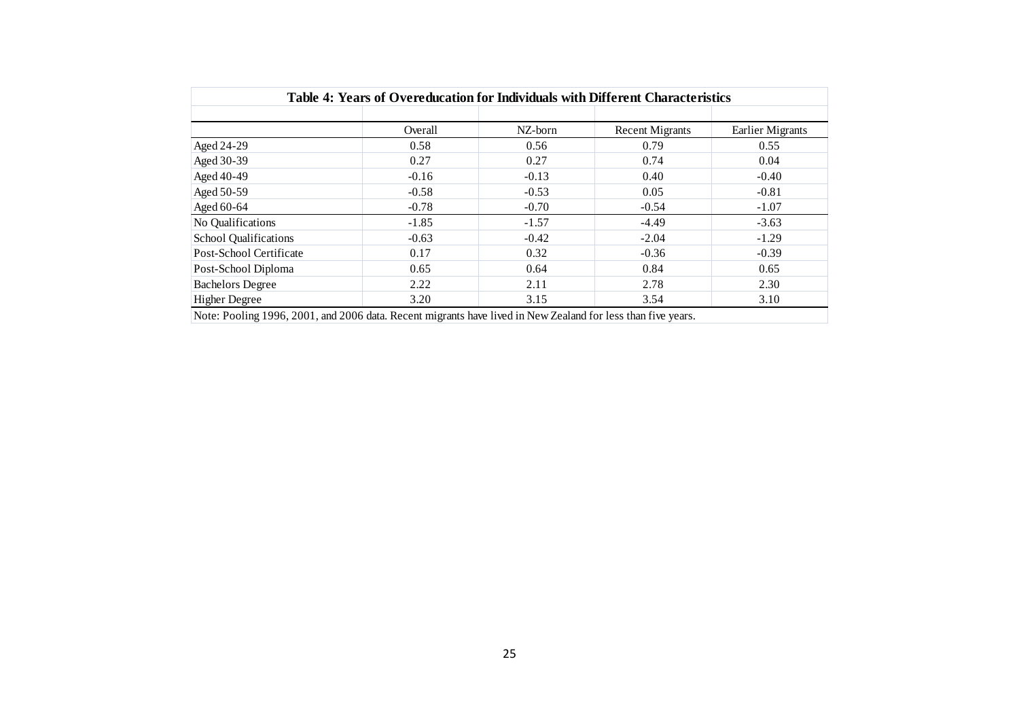| Table 4: Years of Overeducation for Individuals with Different Characteristics |         |         |                        |                         |  |  |  |  |
|--------------------------------------------------------------------------------|---------|---------|------------------------|-------------------------|--|--|--|--|
|                                                                                | Overall | NZ-born | <b>Recent Migrants</b> | <b>Earlier Migrants</b> |  |  |  |  |
| Aged 24-29                                                                     | 0.58    | 0.56    | 0.79                   | 0.55                    |  |  |  |  |
| Aged 30-39                                                                     | 0.27    | 0.27    | 0.74                   | 0.04                    |  |  |  |  |
| Aged 40-49                                                                     | $-0.16$ | $-0.13$ | 0.40                   | $-0.40$                 |  |  |  |  |
| Aged 50-59                                                                     | $-0.58$ | $-0.53$ | 0.05                   | $-0.81$                 |  |  |  |  |
| Aged 60-64                                                                     | $-0.78$ | $-0.70$ | $-0.54$                | $-1.07$                 |  |  |  |  |
| No Qualifications                                                              | $-1.85$ | $-1.57$ | $-4.49$                | $-3.63$                 |  |  |  |  |
| School Qualifications                                                          | $-0.63$ | $-0.42$ | $-2.04$                | $-1.29$                 |  |  |  |  |
| Post-School Certificate                                                        | 0.17    | 0.32    | $-0.36$                | $-0.39$                 |  |  |  |  |
| Post-School Diploma                                                            | 0.65    | 0.64    | 0.84                   | 0.65                    |  |  |  |  |
| <b>Bachelors Degree</b>                                                        | 2.22    | 2.11    | 2.78                   | 2.30                    |  |  |  |  |
| <b>Higher Degree</b>                                                           | 3.20    | 3.15    | 3.54                   | 3.10                    |  |  |  |  |
|                                                                                |         |         |                        |                         |  |  |  |  |
|                                                                                |         |         |                        |                         |  |  |  |  |
|                                                                                |         |         |                        |                         |  |  |  |  |
|                                                                                |         |         |                        |                         |  |  |  |  |
|                                                                                |         | 25      |                        |                         |  |  |  |  |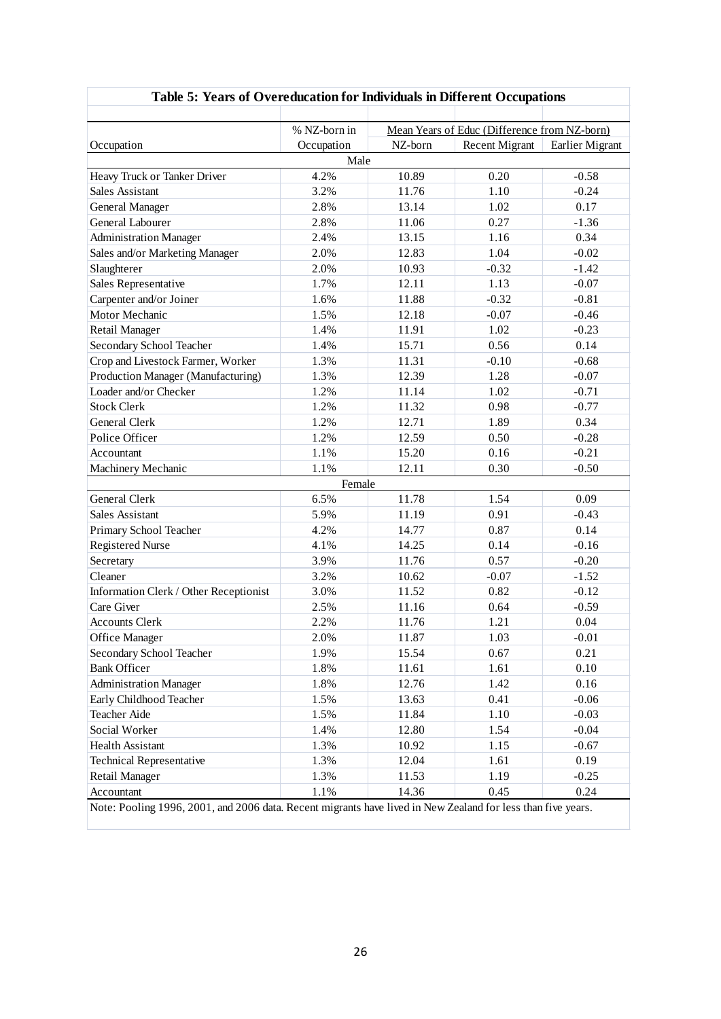|                                                                                                              | % NZ-born in | Mean Years of Educ (Difference from NZ-born) |                       |                 |  |  |
|--------------------------------------------------------------------------------------------------------------|--------------|----------------------------------------------|-----------------------|-----------------|--|--|
| Occupation                                                                                                   | Occupation   | NZ-born                                      | <b>Recent Migrant</b> | Earlier Migrant |  |  |
|                                                                                                              | Male         |                                              |                       |                 |  |  |
| Heavy Truck or Tanker Driver                                                                                 | 4.2%         | 10.89                                        | 0.20                  | $-0.58$         |  |  |
| <b>Sales Assistant</b>                                                                                       | 3.2%         | 11.76                                        | 1.10                  | $-0.24$         |  |  |
| General Manager                                                                                              | 2.8%         | 13.14                                        | 1.02                  | 0.17            |  |  |
| General Labourer                                                                                             | 2.8%         | 11.06                                        | 0.27                  | $-1.36$         |  |  |
| <b>Administration Manager</b>                                                                                | 2.4%         | 13.15                                        | 1.16                  | 0.34            |  |  |
| Sales and/or Marketing Manager                                                                               | 2.0%         | 12.83                                        | 1.04                  | $-0.02$         |  |  |
| Slaughterer                                                                                                  | 2.0%         | 10.93                                        | $-0.32$               | $-1.42$         |  |  |
| Sales Representative                                                                                         | 1.7%         | 12.11                                        | 1.13                  | $-0.07$         |  |  |
| Carpenter and/or Joiner                                                                                      | 1.6%         | 11.88                                        | $-0.32$               | $-0.81$         |  |  |
| Motor Mechanic                                                                                               | 1.5%         | 12.18                                        | $-0.07$               | $-0.46$         |  |  |
| Retail Manager                                                                                               | 1.4%         | 11.91                                        | 1.02                  | $-0.23$         |  |  |
| Secondary School Teacher                                                                                     | 1.4%         | 15.71                                        | 0.56                  | 0.14            |  |  |
| Crop and Livestock Farmer, Worker                                                                            | 1.3%         | 11.31                                        | $-0.10$               | $-0.68$         |  |  |
| Production Manager (Manufacturing)                                                                           | 1.3%         | 12.39                                        | 1.28                  | $-0.07$         |  |  |
| Loader and/or Checker                                                                                        | 1.2%         | 11.14                                        | 1.02                  | $-0.71$         |  |  |
| <b>Stock Clerk</b>                                                                                           | 1.2%         | 11.32                                        | 0.98                  | $-0.77$         |  |  |
| <b>General Clerk</b>                                                                                         | 1.2%         | 12.71                                        | 1.89                  | 0.34            |  |  |
| Police Officer                                                                                               | 1.2%         | 12.59                                        | 0.50                  | $-0.28$         |  |  |
| Accountant                                                                                                   | 1.1%         | 15.20                                        | 0.16                  | $-0.21$         |  |  |
| Machinery Mechanic                                                                                           | 1.1%         | 12.11                                        | 0.30                  | $-0.50$         |  |  |
|                                                                                                              | Female       |                                              |                       |                 |  |  |
| General Clerk                                                                                                | 6.5%         | 11.78                                        | 1.54                  | 0.09            |  |  |
| <b>Sales Assistant</b>                                                                                       | 5.9%         | 11.19                                        | 0.91                  | $-0.43$         |  |  |
| Primary School Teacher                                                                                       | 4.2%         | 14.77                                        | 0.87                  | 0.14            |  |  |
| <b>Registered Nurse</b>                                                                                      | 4.1%         | 14.25                                        | 0.14                  | $-0.16$         |  |  |
| Secretary                                                                                                    | 3.9%         | 11.76                                        | 0.57                  | $-0.20$         |  |  |
| Cleaner                                                                                                      | 3.2%         | 10.62                                        | $-0.07$               | $-1.52$         |  |  |
| Information Clerk / Other Receptionist                                                                       | 3.0%         | 11.52                                        | 0.82                  | $-0.12$         |  |  |
| Care Giver                                                                                                   | 2.5%         | 11.16                                        | 0.64                  | $-0.59$         |  |  |
| <b>Accounts Clerk</b>                                                                                        | 2.2%         | 11.76                                        | 1.21                  | 0.04            |  |  |
| Office Manager                                                                                               | 2.0%         | 11.87                                        | 1.03                  | $-0.01$         |  |  |
| Secondary School Teacher                                                                                     | 1.9%         | 15.54                                        | 0.67                  | 0.21            |  |  |
| <b>Bank Officer</b>                                                                                          | 1.8%         | 11.61                                        | 1.61                  | 0.10            |  |  |
| <b>Administration Manager</b>                                                                                | $1.8\%$      | 12.76                                        | 1.42                  | 0.16            |  |  |
| Early Childhood Teacher                                                                                      | 1.5%         | 13.63                                        | 0.41                  | $-0.06$         |  |  |
| Teacher Aide                                                                                                 | 1.5%         | 11.84                                        | 1.10                  | $-0.03$         |  |  |
| Social Worker                                                                                                | 1.4%         | 12.80                                        | 1.54                  | $-0.04$         |  |  |
| <b>Health Assistant</b>                                                                                      | 1.3%         | 10.92                                        | 1.15                  | $-0.67$         |  |  |
| <b>Technical Representative</b>                                                                              | 1.3%         | 12.04                                        | 1.61                  | 0.19            |  |  |
| Retail Manager                                                                                               | 1.3%         | 11.53                                        | 1.19                  | $-0.25$         |  |  |
| Accountant                                                                                                   | $1.1\%$      | 14.36                                        | 0.45                  | 0.24            |  |  |
| Note: Pooling 1996, 2001, and 2006 data. Recent migrants have lived in New Zealand for less than five years. |              |                                              |                       |                 |  |  |

# **Table 5: Years of Overeducation for Individuals in Different Occupations**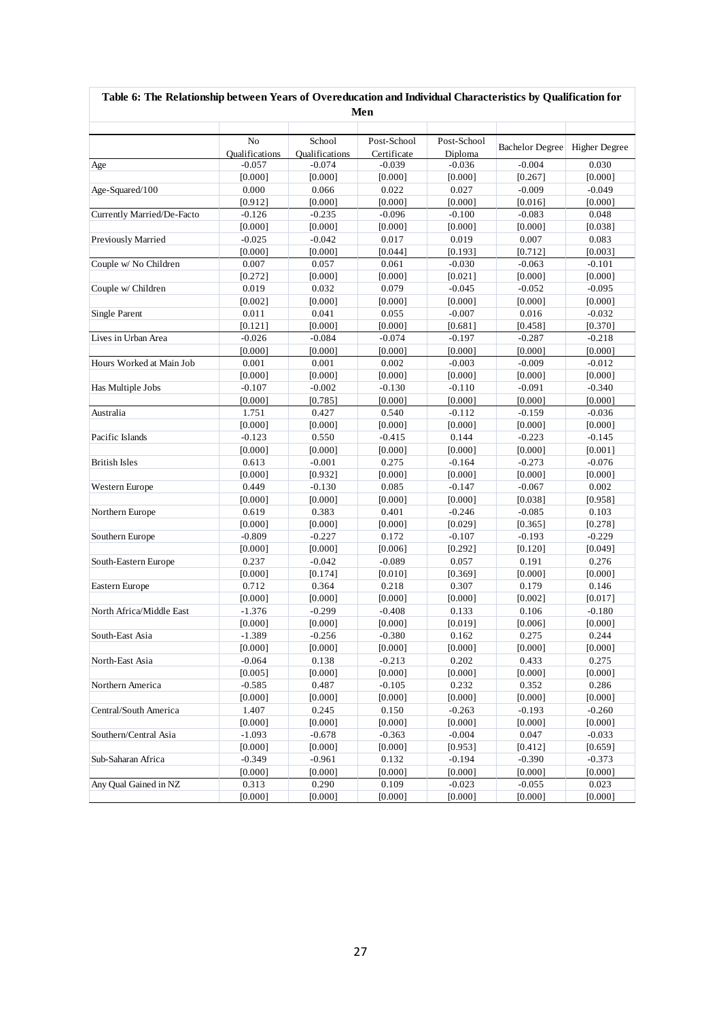|                            |                                         |                                 | Men                        |                        |                        |                      |
|----------------------------|-----------------------------------------|---------------------------------|----------------------------|------------------------|------------------------|----------------------|
|                            | N <sub>o</sub><br><b>Oualifications</b> | School<br><b>Qualifications</b> | Post-School<br>Certificate | Post-School<br>Diploma | <b>Bachelor Degree</b> | <b>Higher Degree</b> |
| Age                        | $-0.057$                                | $-0.074$                        | $-0.039$                   | $-0.036$               | $-0.004$               | 0.030                |
|                            | [0.000]                                 | [0.000]                         | [0.000]                    | [0.000]                | [0.267]                | [0.000]              |
| Age-Squared/100            | 0.000                                   | 0.066                           | 0.022                      | 0.027                  | $-0.009$               | $-0.049$             |
|                            | [0.912]                                 | [0.000]                         | [0.000]                    | [0.000]                | [0.016]                | [0.000]              |
| Currently Married/De-Facto | $-0.126$                                | $-0.235$                        | $-0.096$                   | $-0.100$               | $-0.083$               | 0.048                |
|                            | [0.000]                                 | [0.000]                         | [0.000]                    | [0.000]                | [0.000]                | [0.038]              |
| Previously Married         | $-0.025$                                | $-0.042$                        | 0.017                      | 0.019                  | 0.007                  | 0.083                |
|                            | [0.000]                                 | [0.000]                         | [0.044]                    | [0.193]                | [0.712]                | [0.003]              |
| Couple w/ No Children      | 0.007                                   | 0.057                           | 0.061                      | $-0.030$               | $-0.063$               | $-0.101$             |
|                            | [0.272]                                 | [0.000]                         | [0.000]                    | [0.021]                | [0.000]                | [0.000]              |
| Couple w/ Children         | 0.019                                   | 0.032                           | 0.079                      | $-0.045$               | $-0.052$               | $-0.095$             |
|                            | [0.002]                                 | [0.000]                         | [0.000]                    | [0.000]                | [0.000]                | [0.000]              |
| <b>Single Parent</b>       | 0.011                                   | 0.041                           | 0.055                      | $-0.007$               | 0.016                  | $-0.032$             |
|                            | [0.121]                                 | [0.000]                         | [0.000]                    | [0.681]                | [0.458]                | [0.370]              |
| Lives in Urban Area        | $-0.026$                                | $-0.084$                        | $-0.074$                   | $-0.197$               | $-0.287$               | $-0.218$             |
|                            | [0.000]                                 | [0.000]                         | [0.000]                    | [0.000]                | [0.000]                | [0.000]              |
| Hours Worked at Main Job   | 0.001                                   | 0.001                           | 0.002                      | $-0.003$               | $-0.009$               | $-0.012$             |
|                            | [0.000]                                 | [0.000]                         | [0.000]                    | [0.000]                | [0.000]                | [0.000]              |
| Has Multiple Jobs          | $-0.107$                                | $-0.002$                        | $-0.130$                   | $-0.110$               | $-0.091$               | $-0.340$             |
|                            | [0.000]                                 | [0.785]                         | [0.000]                    | [0.000]                | [0.000]                | [0.000]              |
| Australia                  | 1.751                                   | 0.427                           | 0.540                      | $-0.112$               | $-0.159$               | $-0.036$             |
|                            | [0.000]                                 | [0.000]                         | [0.000]                    | [0.000]                | [0.000]                | [0.000]              |
| Pacific Islands            | $-0.123$                                | 0.550                           | $-0.415$                   | 0.144                  | $-0.223$               | $-0.145$             |
|                            | [0.000]                                 | [0.000]                         | [0.000]                    | [0.000]                | [0.000]                | [0.001]              |
| <b>British Isles</b>       | 0.613                                   | $-0.001$                        | 0.275                      | $-0.164$               | $-0.273$               | $-0.076$             |
|                            | [0.000]                                 | [0.932]                         | [0.000]                    | [0.000]                | [0.000]                | [0.000]              |
| Western Europe             | 0.449                                   | $-0.130$                        | 0.085                      | $-0.147$               | $-0.067$               | 0.002                |
|                            | [0.000]                                 | [0.000]                         | [0.000]                    | [0.000]                | [0.038]                | [0.958]              |
| Northern Europe            | 0.619                                   | 0.383                           | 0.401                      | $-0.246$               | $-0.085$               | 0.103                |
|                            | [0.000]                                 | [0.000]                         | [0.000]                    | [0.029]                | [0.365]                | [0.278]              |
| Southern Europe            | $-0.809$                                | $-0.227$                        | 0.172                      | $-0.107$               | $-0.193$               | $-0.229$             |
|                            | [0.000]                                 | [0.000]                         | [0.006]                    | [0.292]                | [0.120]                | [0.049]              |
| South-Eastern Europe       | 0.237                                   | $-0.042$                        | $-0.089$                   | 0.057                  | 0.191                  | 0.276                |
|                            | [0.000]                                 | [0.174]                         | [0.010]                    | [0.369]                | [0.000]                | [0.000]              |
| Eastern Europe             | 0.712                                   | 0.364                           | 0.218                      | 0.307                  | 0.179                  | 0.146                |
|                            | [0.000]                                 | [0.000]                         | [0.000]                    | [0.000]                | [0.002]                | [0.017]              |
| North Africa/Middle East   | $-1.376$                                | $-0.299$                        | $-0.408$                   | 0.133                  | 0.106                  | $-0.180$             |
|                            | [0.000]                                 | [0.000]                         | [0.000]                    | [0.019]                | [0.006]                | [0.000]              |
| South-East Asia            | $-1.389$                                | $-0.256$                        | $-0.380$                   | 0.162                  | 0.275                  | 0.244                |
|                            | [0.000]                                 | [0.000]                         | [0.000]                    | [0.000]                | [0.000]                | [0.000]              |
| North-East Asia            | $-0.064$                                | 0.138                           | $-0.213$                   | 0.202                  | 0.433                  | 0.275                |
|                            | [0.005]                                 | [0.000]                         | [0.000]                    | [0.000]                | [0.000]                | [0.000]              |
| Northern America           | $-0.585$                                | 0.487                           | $-0.105$                   | 0.232                  | 0.352                  | 0.286                |
|                            | [0.000]                                 | [0.000]                         | [0.000]                    | [0.000]                | [0.000]                | [0.000]              |
| Central/South America      | 1.407                                   | 0.245                           | 0.150                      | $-0.263$               | $-0.193$               | $-0.260$             |
|                            | [0.000]                                 | [0.000]                         | [0.000]                    | [0.000]                | [0.000]                | [0.000]              |
| Southern/Central Asia      | $-1.093$                                | $-0.678$                        | $-0.363$                   | $-0.004$               | 0.047                  | $-0.033$             |
|                            | [0.000]                                 | [0.000]                         | [0.000]                    | [0.953]                | [0.412]                | [0.659]              |
| Sub-Saharan Africa         | $-0.349$                                | $-0.961$                        | 0.132                      | $-0.194$               | $-0.390$               | $-0.373$             |
|                            | [0.000]                                 | [0.000]                         | [0.000]                    | [0.000]                | [0.000]                | [0.000]              |
| Any Qual Gained in NZ      | 0.313                                   | 0.290                           | 0.109                      | $-0.023$               | $-0.055$               | 0.023                |
|                            | [0.000]                                 | [0.000]                         | [0.000]                    | [0.000]                | [0.000]                | [0.000]              |

# **Table 6: The Relationship between Years of Overeducation and Individual Characteristics by Qualification for**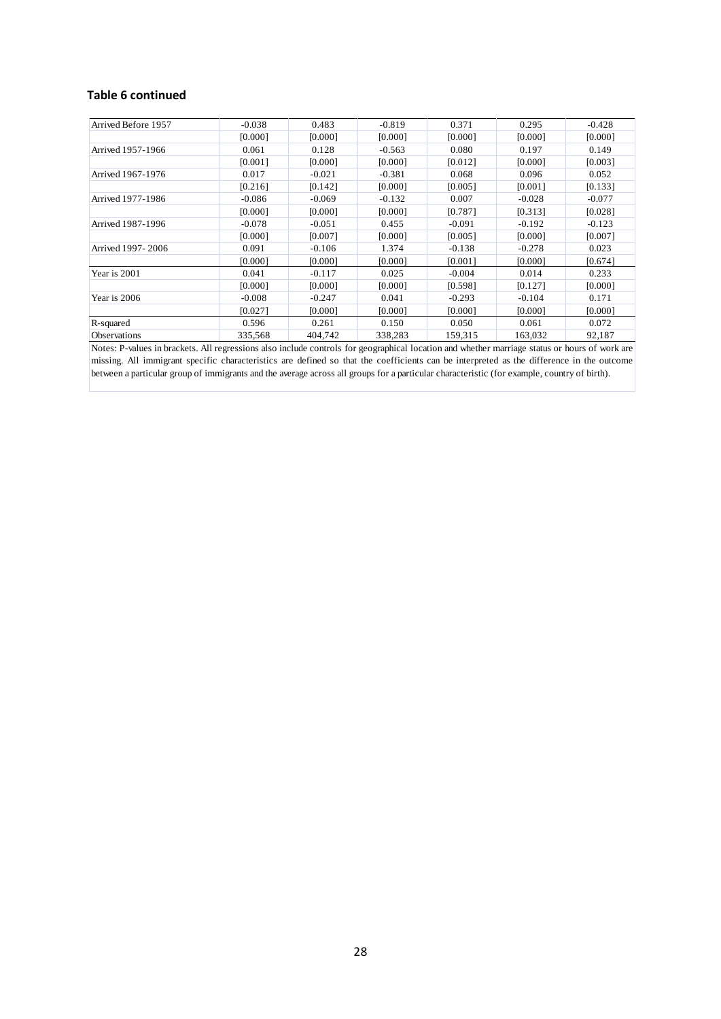#### **Table 6 continued**

| Arrived Before 1957                                                                                                                           | $-0.038$                                                                                                                                    | 0.483    | $-0.819$ | 0.371    | 0.295    | $-0.428$ |  |  |
|-----------------------------------------------------------------------------------------------------------------------------------------------|---------------------------------------------------------------------------------------------------------------------------------------------|----------|----------|----------|----------|----------|--|--|
|                                                                                                                                               | [0.000]                                                                                                                                     | [0.000]  | [0.000]  | [0.000]  | [0.000]  | [0.000]  |  |  |
| Arrived 1957-1966                                                                                                                             | 0.061                                                                                                                                       | 0.128    | $-0.563$ | 0.080    | 0.197    | 0.149    |  |  |
|                                                                                                                                               | [0.001]                                                                                                                                     | [0.000]  | [0.000]  | [0.012]  | [0.000]  | [0.003]  |  |  |
| Arrived 1967-1976                                                                                                                             | 0.017                                                                                                                                       | $-0.021$ | $-0.381$ | 0.068    | 0.096    | 0.052    |  |  |
|                                                                                                                                               | [0.216]                                                                                                                                     | [0.142]  | [0.000]  | [0.005]  | [0.001]  | [0.133]  |  |  |
| Arrived 1977-1986                                                                                                                             | $-0.086$                                                                                                                                    | $-0.069$ | $-0.132$ | 0.007    | $-0.028$ | $-0.077$ |  |  |
|                                                                                                                                               | [0.000]                                                                                                                                     | [0.000]  | [0.000]  | [0.787]  | [0.313]  | [0.028]  |  |  |
| Arrived 1987-1996                                                                                                                             | $-0.078$                                                                                                                                    | $-0.051$ | 0.455    | $-0.091$ | $-0.192$ | $-0.123$ |  |  |
|                                                                                                                                               | [0.000]                                                                                                                                     | [0.007]  | [0.000]  | [0.005]  | [0.000]  | [0.007]  |  |  |
| Arrived 1997-2006                                                                                                                             | 0.091                                                                                                                                       | $-0.106$ | 1.374    | $-0.138$ | $-0.278$ | 0.023    |  |  |
|                                                                                                                                               | [0.000]                                                                                                                                     | [0.000]  | [0.000]  | [0.001]  | [0.000]  | [0.674]  |  |  |
| Year is 2001                                                                                                                                  | 0.041                                                                                                                                       | $-0.117$ | 0.025    | $-0.004$ | 0.014    | 0.233    |  |  |
|                                                                                                                                               | [0.000]                                                                                                                                     | [0.000]  | [0.000]  | [0.598]  | [0.127]  | [0.000]  |  |  |
| Year is 2006                                                                                                                                  | $-0.008$                                                                                                                                    | $-0.247$ | 0.041    | $-0.293$ | $-0.104$ | 0.171    |  |  |
|                                                                                                                                               | [0.027]                                                                                                                                     | [0.000]  | [0.000]  | [0.000]  | [0.000]  | [0.000]  |  |  |
| R-squared                                                                                                                                     | 0.596                                                                                                                                       | 0.261    | 0.150    | 0.050    | 0.061    | 0.072    |  |  |
| Observations                                                                                                                                  | 335,568                                                                                                                                     | 404,742  | 338,283  | 159,315  | 163,032  | 92,187   |  |  |
| Notes: P-values in brackets. All regressions also include controls for geographical location and whether marriage status or hours of work are |                                                                                                                                             |          |          |          |          |          |  |  |
| missing. All immigrant specific characteristics are defined so that the coefficients can be interpreted as the difference in the outcome      |                                                                                                                                             |          |          |          |          |          |  |  |
|                                                                                                                                               | between a particular group of immigrants and the average across all groups for a particular characteristic (for example, country of birth). |          |          |          |          |          |  |  |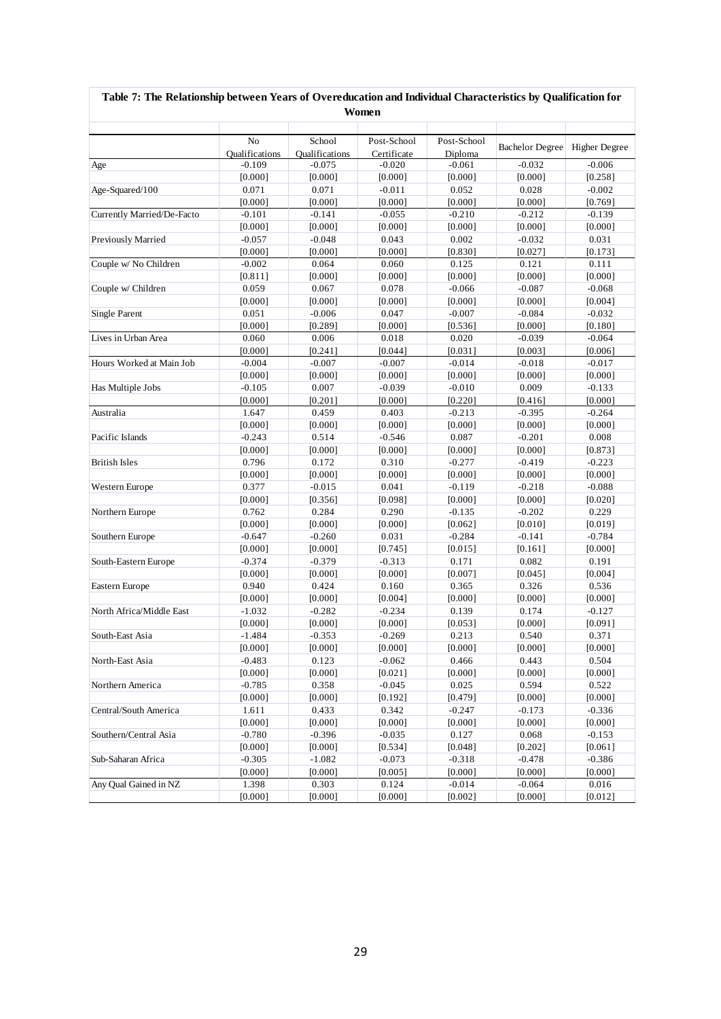|                            |                                   |                                   | Women                   |                     |                        |                      |
|----------------------------|-----------------------------------|-----------------------------------|-------------------------|---------------------|------------------------|----------------------|
|                            |                                   |                                   |                         |                     |                        |                      |
|                            | N <sub>o</sub>                    | School                            | Post-School             | Post-School         | <b>Bachelor Degree</b> | <b>Higher Degree</b> |
|                            | <b>Oualifications</b><br>$-0.109$ | <b>Oualifications</b><br>$-0.075$ | Certificate<br>$-0.020$ | Diploma<br>$-0.061$ | $-0.032$               | $-0.006$             |
| Age                        |                                   | [0.000]                           | [0.000]                 | [0.000]             |                        | [0.258]              |
| Age-Squared/100            | [0.000]<br>0.071                  | 0.071                             | $-0.011$                | 0.052               | [0.000]<br>0.028       | $-0.002$             |
|                            | [0.000]                           | [0.000]                           | [0.000]                 | [0.000]             | [0.000]                | [0.769]              |
| Currently Married/De-Facto | $-0.101$                          | $-0.141$                          | $-0.055$                | $-0.210$            | $-0.212$               | $-0.139$             |
|                            | [0.000]                           | [0.000]                           | [0.000]                 | [0.000]             | [0.000]                | [0.000]              |
| Previously Married         | $-0.057$                          | $-0.048$                          | 0.043                   | 0.002               | $-0.032$               | 0.031                |
|                            | [0.000]                           | [0.000]                           | [0.000]                 | [0.830]             | [0.027]                | [0.173]              |
| Couple w/ No Children      | $-0.002$                          | 0.064                             | 0.060                   | 0.125               | 0.121                  | 0.111                |
|                            | [0.811]                           | [0.000]                           | [0.000]                 | [0.000]             | [0.000]                | [0.000]              |
| Couple w/ Children         | 0.059                             | 0.067                             | 0.078                   | $-0.066$            | $-0.087$               | $-0.068$             |
|                            | [0.000]                           | [0.000]                           | [0.000]                 | [0.000]             | [0.000]                | [0.004]              |
| Single Parent              | 0.051                             | $-0.006$                          | 0.047                   | $-0.007$            | $-0.084$               | $-0.032$             |
|                            | [0.000]                           | [0.289]                           | [0.000]                 | [0.536]             | [0.000]                | [0.180]              |
| Lives in Urban Area        | 0.060                             | 0.006                             | 0.018                   | 0.020               | $-0.039$               | $-0.064$             |
|                            | [0.000]                           | [0.241]                           | [0.044]                 | [0.031]             | [0.003]                | [0.006]              |
| Hours Worked at Main Job   | $-0.004$                          | $-0.007$                          | $-0.007$                | $-0.014$            | $-0.018$               | $-0.017$             |
|                            | [0.000]                           | [0.000]                           | [0.000]                 | [0.000]             | [0.000]                | [0.000]              |
|                            | $-0.105$                          | 0.007                             | $-0.039$                | $-0.010$            | 0.009                  | $-0.133$             |
| Has Multiple Jobs          | [0.000]                           | [0.201]                           | [0.000]                 |                     |                        |                      |
| Australia                  | 1.647                             | 0.459                             | 0.403                   | [0.220]<br>$-0.213$ | [0.416]<br>$-0.395$    | [0.000]<br>$-0.264$  |
|                            | [0.000]                           | [0.000]                           | [0.000]                 |                     | [0.000]                |                      |
| Pacific Islands            | $-0.243$                          | 0.514                             | $-0.546$                | [0.000]<br>0.087    | $-0.201$               | [0.000]<br>0.008     |
|                            | [0.000]                           | [0.000]                           | [0.000]                 | [0.000]             | [0.000]                |                      |
| <b>British Isles</b>       | 0.796                             | 0.172                             | 0.310                   | $-0.277$            | $-0.419$               | [0.873]<br>$-0.223$  |
|                            | [0.000]                           | [0.000]                           | [0.000]                 | [0.000]             | [0.000]                | [0.000]              |
|                            |                                   | $-0.015$                          | 0.041                   |                     |                        |                      |
| Western Europe             | 0.377<br>[0.000]                  | [0.356]                           | [0.098]                 | $-0.119$<br>[0.000] | $-0.218$<br>[0.000]    | $-0.088$             |
| Northern Europe            | 0.762                             | 0.284                             | 0.290                   | $-0.135$            | $-0.202$               | [0.020]<br>0.229     |
|                            |                                   |                                   |                         |                     |                        |                      |
| Southern Europe            | [0.000]<br>$-0.647$               | [0.000]<br>$-0.260$               | [0.000]<br>0.031        | [0.062]<br>$-0.284$ | [0.010]<br>$-0.141$    | [0.019]<br>$-0.784$  |
|                            | [0.000]                           | [0.000]                           | [0.745]                 |                     | [0.161]                |                      |
|                            |                                   |                                   |                         | [0.015]             |                        | [0.000]              |
| South-Eastern Europe       | $-0.374$<br>[0.000]               | $-0.379$<br>[0.000]               | $-0.313$<br>[0.000]     | 0.171<br>[0.007]    | 0.082<br>[0.045]       | 0.191<br>[0.004]     |
|                            | 0.940                             | 0.424                             | 0.160                   | 0.365               | 0.326                  | 0.536                |
| Eastern Europe             | [0.000]                           | [0.000]                           | [0.004]                 | [0.000]             | [0.000]                | [0.000]              |
| North Africa/Middle East   | $-1.032$                          | $-0.282$                          | $-0.234$                | 0.139               | 0.174                  | $-0.127$             |
|                            | [0.000]                           | [0.000]                           | [0.000]                 | [0.053]             | [0.000]                | [0.091]              |
| South-East Asia            | $-1.484$                          | $-0.353$                          | $-0.269$                | 0.213               | 0.540                  | 0.371                |
|                            | [0.000]                           |                                   |                         | [0.000]             |                        |                      |
|                            | $-0.483$                          | [0.000]<br>0.123                  | [0.000]<br>$-0.062$     | 0.466               | [0.000]<br>0.443       | [0.000]<br>0.504     |
| North-East Asia            |                                   |                                   | [0.021]                 |                     | [0.000]                |                      |
|                            | [0.000]                           | [0.000]                           |                         | [0.000]             |                        | [0.000]<br>0.522     |
| Northern America           | $-0.785$                          | 0.358                             | $-0.045$                | 0.025               | 0.594                  |                      |
| Central/South America      | [0.000]                           | [0.000]<br>0.433                  | [0.192]<br>0.342        | [0.479]<br>$-0.247$ | [0.000]<br>$-0.173$    | [0.000]<br>$-0.336$  |
|                            | 1.611<br>[0.000]                  | [0.000]                           | [0.000]                 |                     | [0.000]                |                      |
| Southern/Central Asia      | $-0.780$                          | $-0.396$                          | $-0.035$                | [0.000]<br>0.127    | 0.068                  | [0.000]<br>$-0.153$  |
|                            | [0.000]                           |                                   |                         | [0.048]             |                        |                      |
|                            | $-0.305$                          | [0.000]<br>$-1.082$               | [0.534]<br>$-0.073$     | $-0.318$            | [0.202]<br>$-0.478$    | [0.061]<br>$-0.386$  |
| Sub-Saharan Africa         |                                   |                                   |                         | [0.000]             |                        |                      |
| Any Qual Gained in NZ      | [0.000]<br>1.398                  | [0.000]<br>0.303                  | [0.005]<br>0.124        | $-0.014$            | [0.000]<br>$-0.064$    | [0.000]<br>0.016     |
|                            | [0.000]                           | [0.000]                           | [0.000]                 | [0.002]             | [0.000]                | [0.012]              |
|                            |                                   |                                   |                         |                     |                        |                      |

#### **Table 7: The Relationship between Years of Overeducation and Individual Characteristics by Qualification for Women**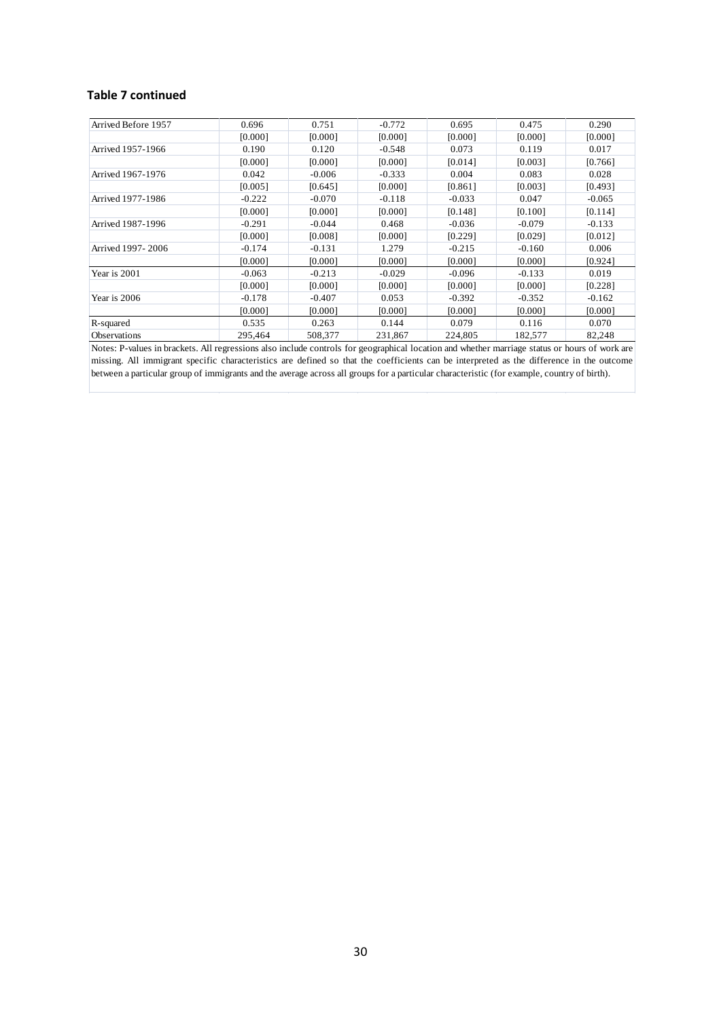#### **Table 7 continued**

| Arrived Before 1957                                                                                                                           | 0.696                                                                                                                                       | 0.751    | $-0.772$ | 0.695    | 0.475    | 0.290    |  |  |  |
|-----------------------------------------------------------------------------------------------------------------------------------------------|---------------------------------------------------------------------------------------------------------------------------------------------|----------|----------|----------|----------|----------|--|--|--|
|                                                                                                                                               | [0.000]                                                                                                                                     | [0.000]  | [0.000]  | [0.000]  | [0.000]  | [0.000]  |  |  |  |
| Arrived 1957-1966                                                                                                                             | 0.190                                                                                                                                       | 0.120    | $-0.548$ | 0.073    | 0.119    | 0.017    |  |  |  |
|                                                                                                                                               | [0.000]                                                                                                                                     | [0.000]  | [0.000]  | [0.014]  | [0.003]  | [0.766]  |  |  |  |
| Arrived 1967-1976                                                                                                                             | 0.042                                                                                                                                       | $-0.006$ | $-0.333$ | 0.004    | 0.083    | 0.028    |  |  |  |
|                                                                                                                                               | [0.005]                                                                                                                                     | [0.645]  | [0.000]  | [0.861]  | [0.003]  | [0.493]  |  |  |  |
| Arrived 1977-1986                                                                                                                             | $-0.222$                                                                                                                                    | $-0.070$ | $-0.118$ | $-0.033$ | 0.047    | $-0.065$ |  |  |  |
|                                                                                                                                               | [0.000]                                                                                                                                     | [0.000]  | [0.000]  | [0.148]  | [0.100]  | [0.114]  |  |  |  |
| Arrived 1987-1996                                                                                                                             | $-0.291$                                                                                                                                    | $-0.044$ | 0.468    | $-0.036$ | $-0.079$ | $-0.133$ |  |  |  |
|                                                                                                                                               | [0.000]                                                                                                                                     | [0.008]  | [0.000]  | [0.229]  | [0.029]  | [0.012]  |  |  |  |
| Arrived 1997-2006                                                                                                                             | $-0.174$                                                                                                                                    | $-0.131$ | 1.279    | $-0.215$ | $-0.160$ | 0.006    |  |  |  |
|                                                                                                                                               | [0.000]                                                                                                                                     | [0.000]  | [0.000]  | [0.000]  | [0.000]  | [0.924]  |  |  |  |
| Year is 2001                                                                                                                                  | $-0.063$                                                                                                                                    | $-0.213$ | $-0.029$ | $-0.096$ | $-0.133$ | 0.019    |  |  |  |
|                                                                                                                                               | [0.000]                                                                                                                                     | [0.000]  | [0.000]  | [0.000]  | [0.000]  | [0.228]  |  |  |  |
| Year is 2006                                                                                                                                  | $-0.178$                                                                                                                                    | $-0.407$ | 0.053    | $-0.392$ | $-0.352$ | $-0.162$ |  |  |  |
|                                                                                                                                               | [0.000]                                                                                                                                     | [0.000]  | [0.000]  | [0.000]  | [0.000]  | [0.000]  |  |  |  |
| R-squared                                                                                                                                     | 0.535                                                                                                                                       | 0.263    | 0.144    | 0.079    | 0.116    | 0.070    |  |  |  |
| Observations                                                                                                                                  | 295,464                                                                                                                                     | 508,377  | 231,867  | 224,805  | 182,577  | 82,248   |  |  |  |
| Notes: P-values in brackets. All regressions also include controls for geographical location and whether marriage status or hours of work are |                                                                                                                                             |          |          |          |          |          |  |  |  |
| missing. All immigrant specific characteristics are defined so that the coefficients can be interpreted as the difference in the outcome      |                                                                                                                                             |          |          |          |          |          |  |  |  |
|                                                                                                                                               | between a particular group of immigrants and the average across all groups for a particular characteristic (for example, country of birth). |          |          |          |          |          |  |  |  |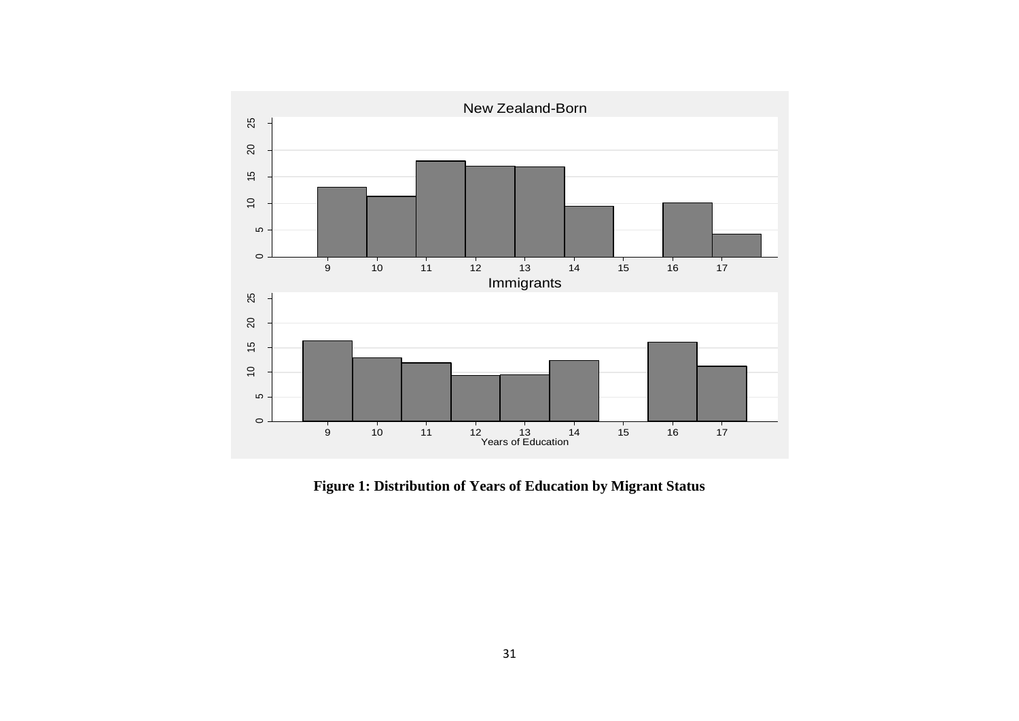

**Figure 1: Distribution of Years of Education by Migrant Status**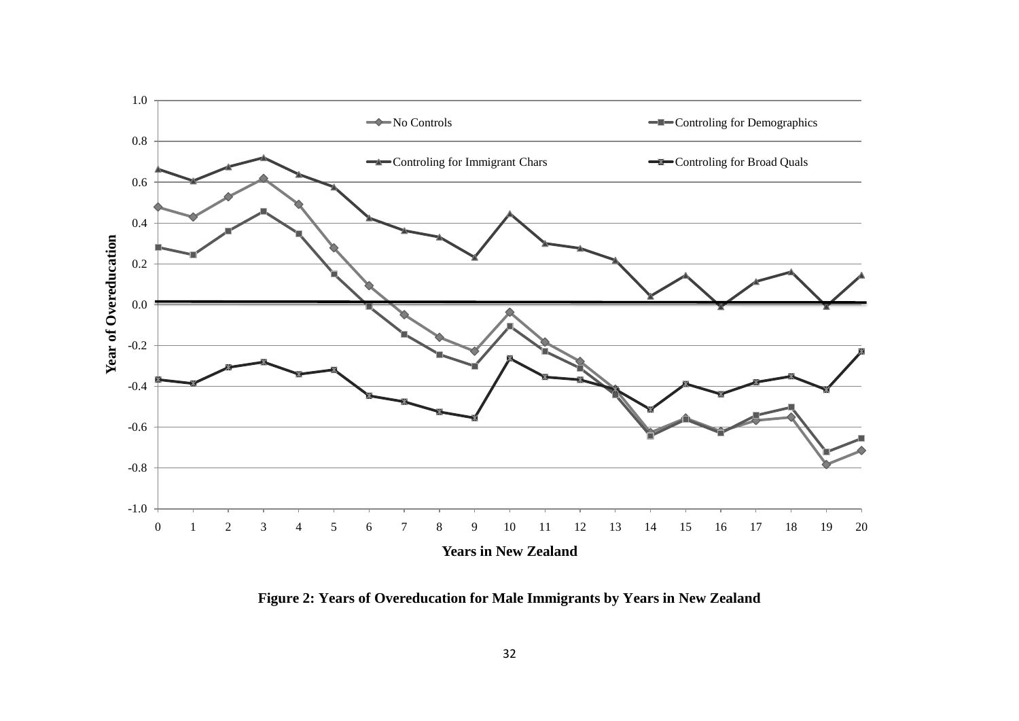

**Figure 2: Years of Overeducation for Male Immigrants by Years in New Zealand**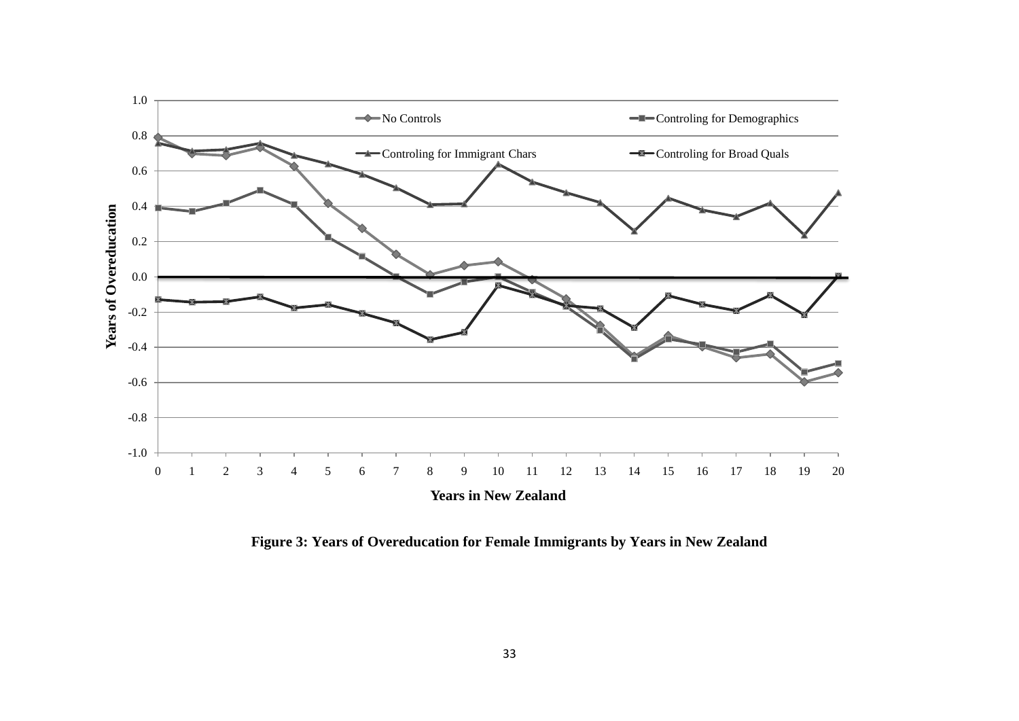

**Figure 3: Years of Overeducation for Female Immigrants by Years in New Zealand**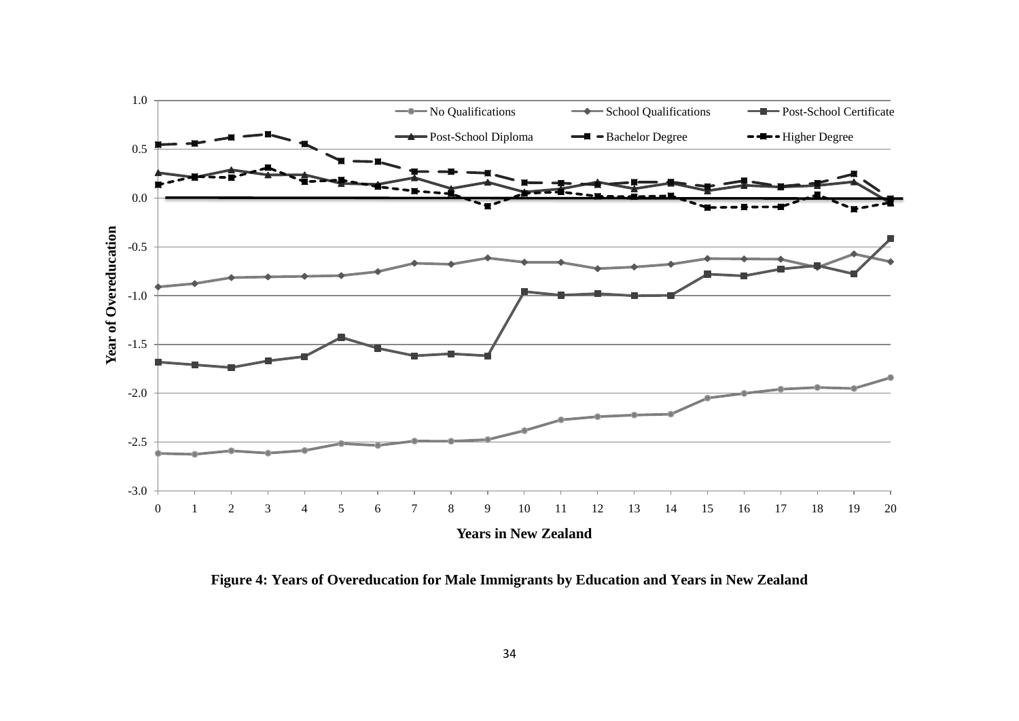

**Figure 4: Years of Overeducation for Male Immigrants by Education and Years in New Zealand**